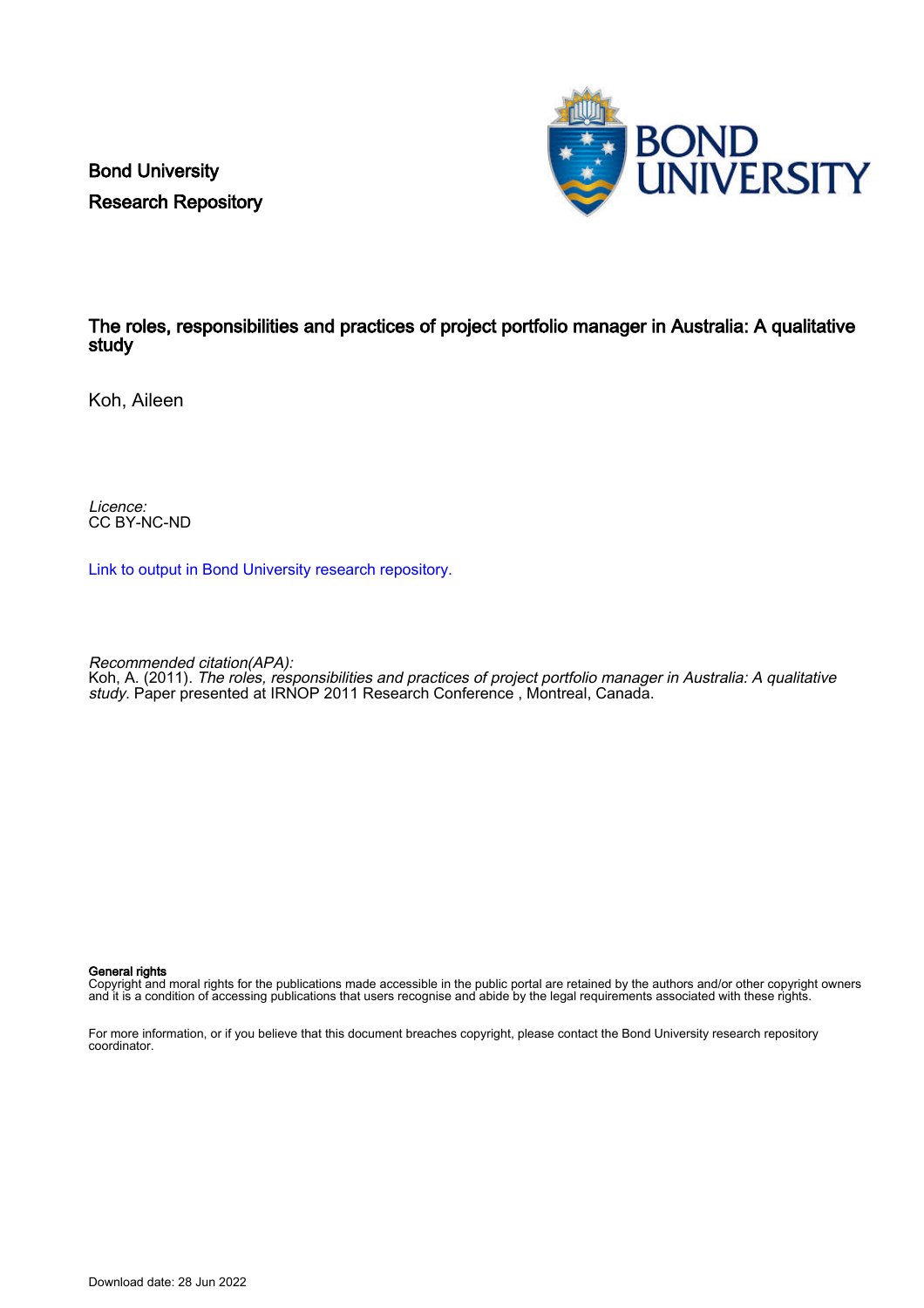Bond University Research Repository



# The roles, responsibilities and practices of project portfolio manager in Australia: A qualitative study

Koh, Aileen

Licence: CC BY-NC-ND

[Link to output in Bond University research repository.](https://research.bond.edu.au/en/publications/f9b8046b-3c4b-432a-bb99-b3f40a534aa1)

Recommended citation(APA):

Koh, A. (2011). The roles, responsibilities and practices of project portfolio manager in Australia: A qualitative study. Paper presented at IRNOP 2011 Research Conference, Montreal, Canada.

#### General rights

Copyright and moral rights for the publications made accessible in the public portal are retained by the authors and/or other copyright owners and it is a condition of accessing publications that users recognise and abide by the legal requirements associated with these rights.

For more information, or if you believe that this document breaches copyright, please contact the Bond University research repository coordinator.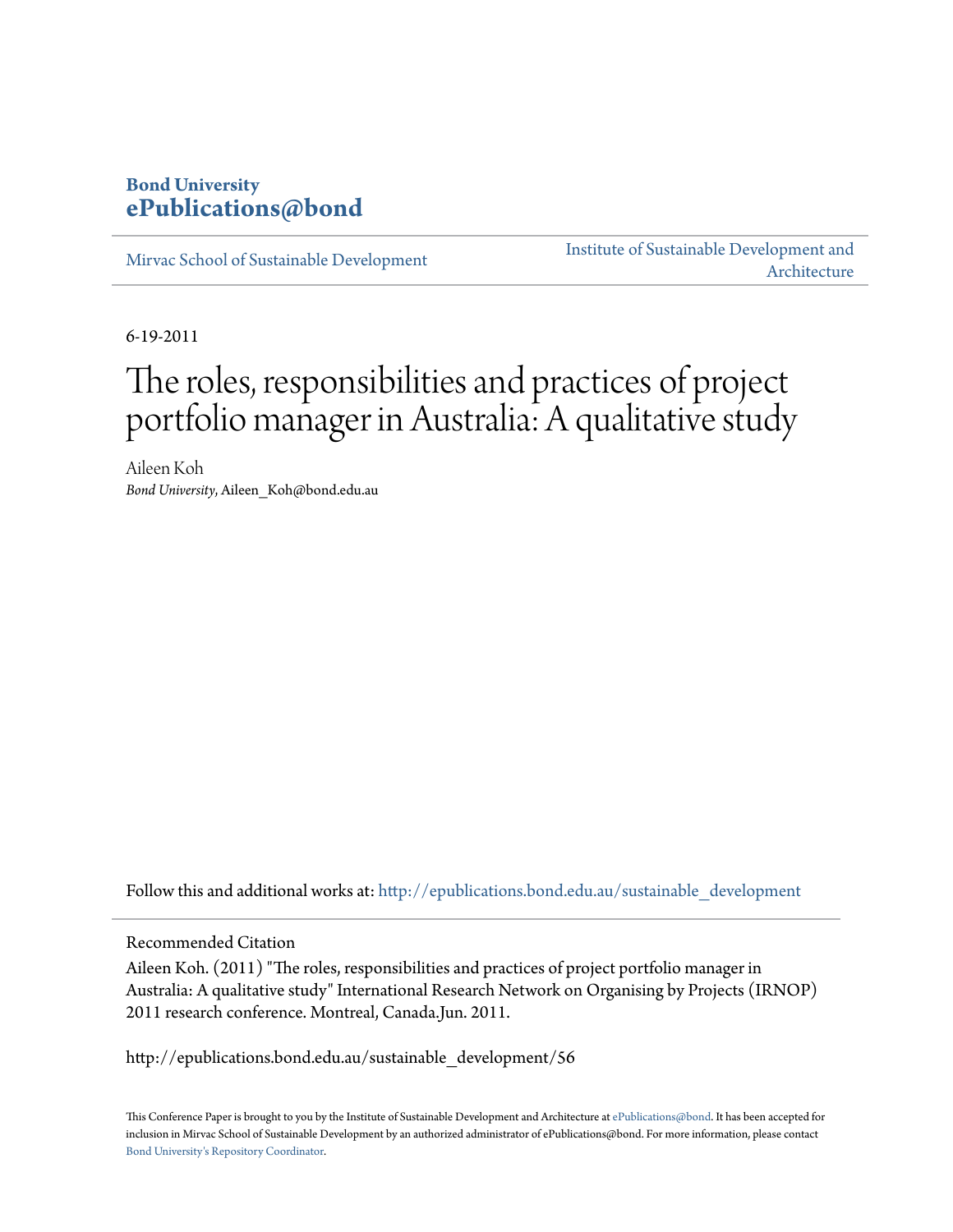# **Bond University [ePublications@bond](http://epublications.bond.edu.au?utm_source=epublications.bond.edu.au%2Fsustainable_development%2F56&utm_medium=PDF&utm_campaign=PDFCoverPages)**

[Mirvac School of Sustainable Development](http://epublications.bond.edu.au/sustainable_development?utm_source=epublications.bond.edu.au%2Fsustainable_development%2F56&utm_medium=PDF&utm_campaign=PDFCoverPages)

[Institute of Sustainable Development and](http://epublications.bond.edu.au/sustainabledev?utm_source=epublications.bond.edu.au%2Fsustainable_development%2F56&utm_medium=PDF&utm_campaign=PDFCoverPages) [Architecture](http://epublications.bond.edu.au/sustainabledev?utm_source=epublications.bond.edu.au%2Fsustainable_development%2F56&utm_medium=PDF&utm_campaign=PDFCoverPages)

6-19-2011

# The roles, responsibilities and practices of project portfolio manager in Australia: A qualitative study

Aileen Koh *Bond University*, Aileen\_Koh@bond.edu.au

Follow this and additional works at: [http://epublications.bond.edu.au/sustainable\\_development](http://epublications.bond.edu.au/sustainable_development?utm_source=epublications.bond.edu.au%2Fsustainable_development%2F56&utm_medium=PDF&utm_campaign=PDFCoverPages)

Recommended Citation

Aileen Koh. (2011) "The roles, responsibilities and practices of project portfolio manager in Australia: A qualitative study" International Research Network on Organising by Projects (IRNOP) 2011 research conference. Montreal, Canada.Jun. 2011.

http://epublications.bond.edu.au/sustainable\_development/56

This Conference Paper is brought to you by the Institute of Sustainable Development and Architecture at [ePublications@bond.](http://epublications.bond.edu.au) It has been accepted for inclusion in Mirvac School of Sustainable Development by an authorized administrator of ePublications@bond. For more information, please contact [Bond University's Repository Coordinator](mailto:acass@bond.edu.au).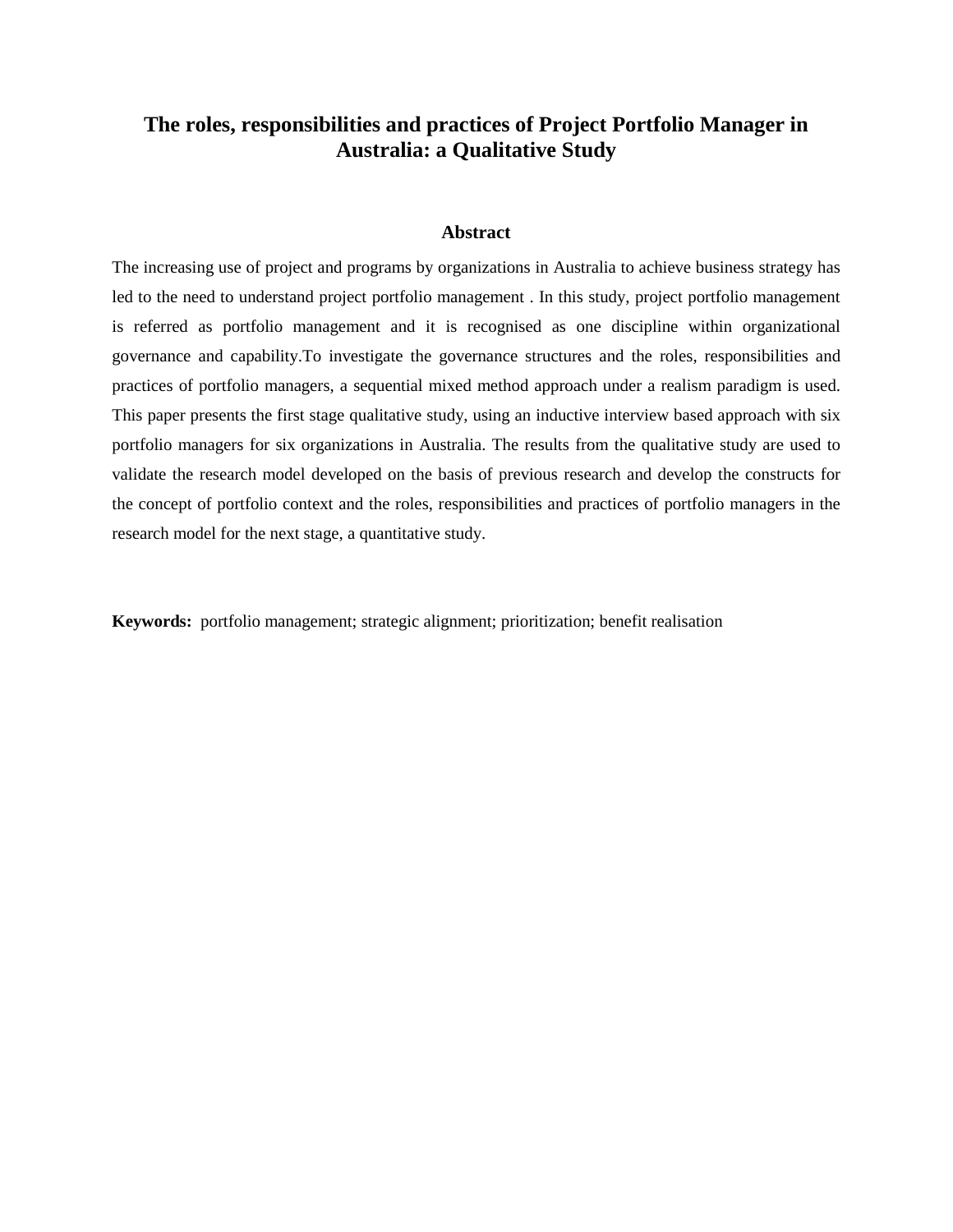#### **Abstract**

The increasing use of project and programs by organizations in Australia to achieve business strategy has led to the need to understand project portfolio management . In this study, project portfolio management is referred as portfolio management and it is recognised as one discipline within organizational governance and capability.To investigate the governance structures and the roles, responsibilities and practices of portfolio managers, a sequential mixed method approach under a realism paradigm is used. This paper presents the first stage qualitative study, using an inductive interview based approach with six portfolio managers for six organizations in Australia. The results from the qualitative study are used to validate the research model developed on the basis of previous research and develop the constructs for the concept of portfolio context and the roles, responsibilities and practices of portfolio managers in the research model for the next stage, a quantitative study.

**Keywords:** portfolio management; strategic alignment; prioritization; benefit realisation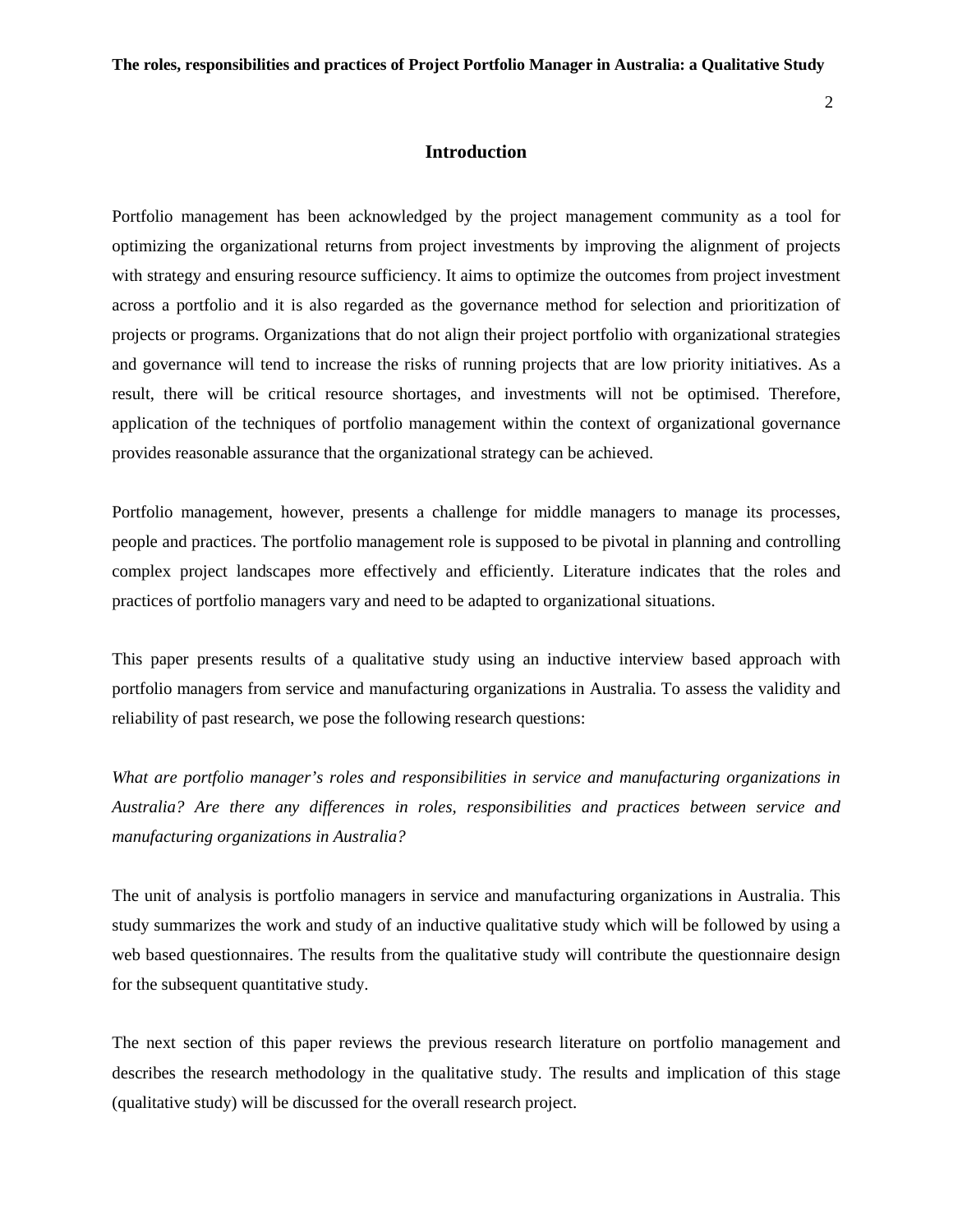#### **Introduction**

Portfolio management has been acknowledged by the project management community as a tool for optimizing the organizational returns from project investments by improving the alignment of projects with strategy and ensuring resource sufficiency. It aims to optimize the outcomes from project investment across a portfolio and it is also regarded as the governance method for selection and prioritization of projects or programs. Organizations that do not align their project portfolio with organizational strategies and governance will tend to increase the risks of running projects that are low priority initiatives. As a result, there will be critical resource shortages, and investments will not be optimised. Therefore, application of the techniques of portfolio management within the context of organizational governance provides reasonable assurance that the organizational strategy can be achieved.

Portfolio management, however, presents a challenge for middle managers to manage its processes, people and practices. The portfolio management role is supposed to be pivotal in planning and controlling complex project landscapes more effectively and efficiently. Literature indicates that the roles and practices of portfolio managers vary and need to be adapted to organizational situations.

This paper presents results of a qualitative study using an inductive interview based approach with portfolio managers from service and manufacturing organizations in Australia. To assess the validity and reliability of past research, we pose the following research questions:

*What are portfolio manager's roles and responsibilities in service and manufacturing organizations in Australia? Are there any differences in roles, responsibilities and practices between service and manufacturing organizations in Australia?*

The unit of analysis is portfolio managers in service and manufacturing organizations in Australia. This study summarizes the work and study of an inductive qualitative study which will be followed by using a web based questionnaires. The results from the qualitative study will contribute the questionnaire design for the subsequent quantitative study.

The next section of this paper reviews the previous research literature on portfolio management and describes the research methodology in the qualitative study. The results and implication of this stage (qualitative study) will be discussed for the overall research project.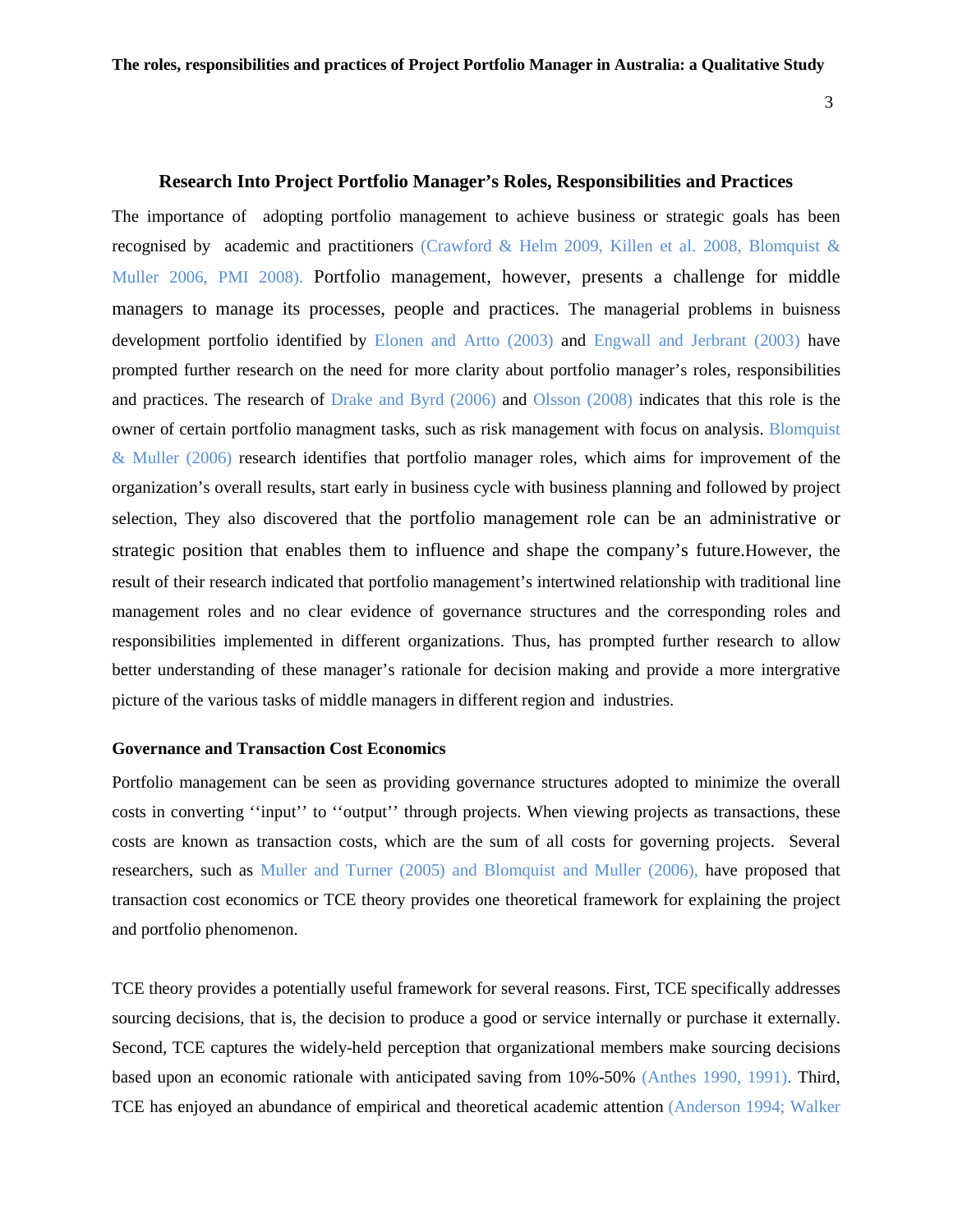#### **Research Into Project Portfolio Manager's Roles, Responsibilities and Practices**

The importance of adopting portfolio management to achieve business or strategic goals has been recognised by academic and practitioners (Crawford & Helm 2009, Killen et al. 2008, Blomquist & Muller 2006, PMI 2008). Portfolio management, however, presents a challenge for middle managers to manage its processes, people and practices. The managerial problems in buisness development portfolio identified by Elonen and Artto (2003) and Engwall and Jerbrant (2003) have prompted further research on the need for more clarity about portfolio manager's roles, responsibilities and practices. The research of Drake and Byrd (2006) and Olsson (2008) indicates that this role is the owner of certain portfolio managment tasks, such as risk management with focus on analysis. Blomquist & Muller (2006) research identifies that portfolio manager roles, which aims for improvement of the organization's overall results, start early in business cycle with business planning and followed by project selection, They also discovered that the portfolio management role can be an administrative or strategic position that enables them to influence and shape the company's future.However, the result of their research indicated that portfolio management's intertwined relationship with traditional line management roles and no clear evidence of governance structures and the corresponding roles and responsibilities implemented in different organizations. Thus, has prompted further research to allow better understanding of these manager's rationale for decision making and provide a more intergrative picture of the various tasks of middle managers in different region and industries.

#### **Governance and Transaction Cost Economics**

Portfolio management can be seen as providing governance structures adopted to minimize the overall costs in converting ''input'' to ''output'' through projects. When viewing projects as transactions, these costs are known as transaction costs, which are the sum of all costs for governing projects. Several researchers, such as Muller and Turner (2005) and Blomquist and Muller (2006), have proposed that transaction cost economics or TCE theory provides one theoretical framework for explaining the project and portfolio phenomenon.

TCE theory provides a potentially useful framework for several reasons. First, TCE specifically addresses sourcing decisions, that is, the decision to produce a good or service internally or purchase it externally. Second, TCE captures the widely-held perception that organizational members make sourcing decisions based upon an economic rationale with anticipated saving from 10%-50% (Anthes 1990, 1991). Third, TCE has enjoyed an abundance of empirical and theoretical academic attention (Anderson 1994; Walker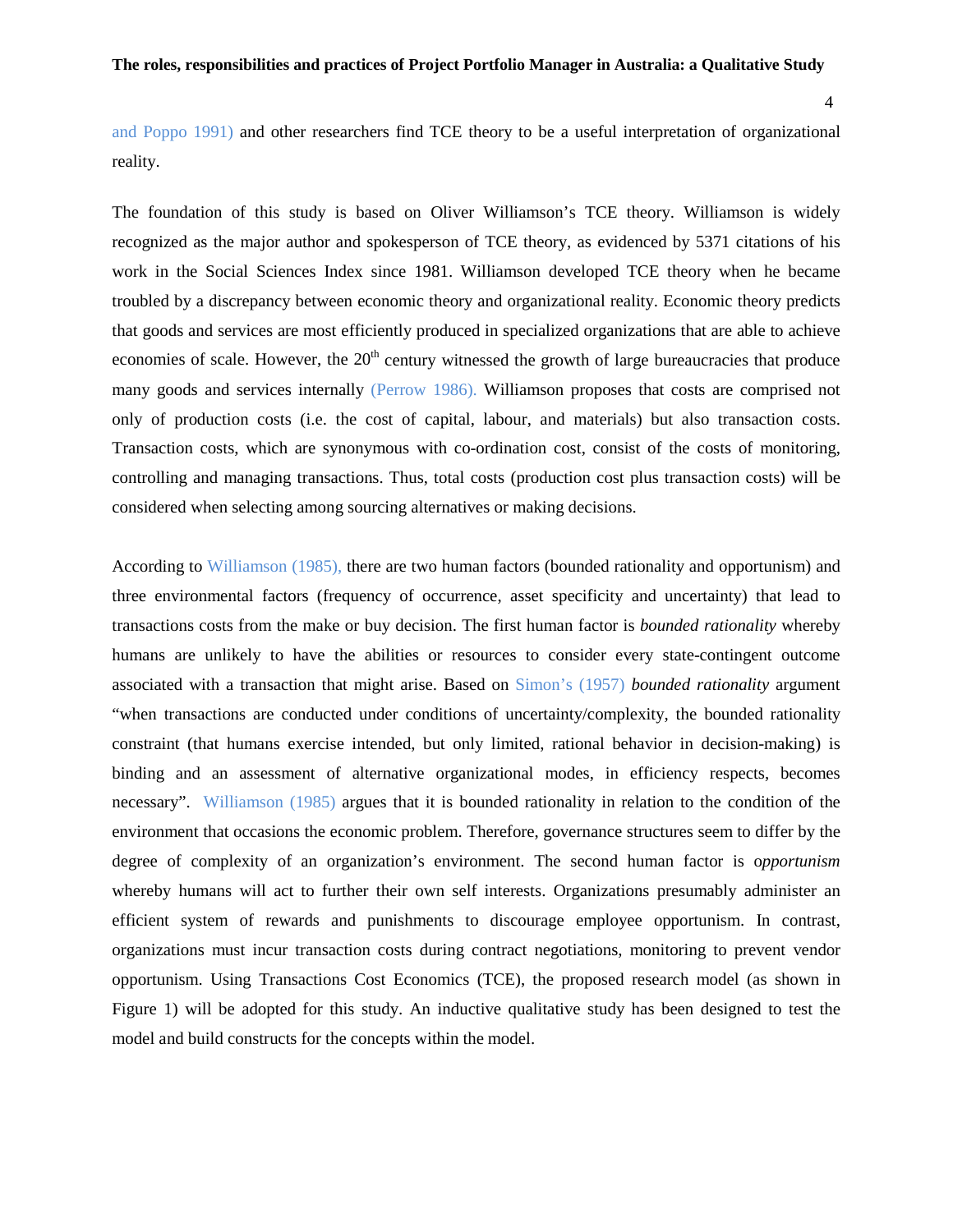4

and Poppo 1991) and other researchers find TCE theory to be a useful interpretation of organizational reality.

The foundation of this study is based on Oliver Williamson's TCE theory. Williamson is widely recognized as the major author and spokesperson of TCE theory, as evidenced by 5371 citations of his work in the Social Sciences Index since 1981. Williamson developed TCE theory when he became troubled by a discrepancy between economic theory and organizational reality. Economic theory predicts that goods and services are most efficiently produced in specialized organizations that are able to achieve economies of scale. However, the  $20<sup>th</sup>$  century witnessed the growth of large bureaucracies that produce many goods and services internally (Perrow 1986). Williamson proposes that costs are comprised not only of production costs (i.e. the cost of capital, labour, and materials) but also transaction costs. Transaction costs, which are synonymous with co-ordination cost, consist of the costs of monitoring, controlling and managing transactions. Thus, total costs (production cost plus transaction costs) will be considered when selecting among sourcing alternatives or making decisions.

According to Williamson (1985), there are two human factors (bounded rationality and opportunism) and three environmental factors (frequency of occurrence, asset specificity and uncertainty) that lead to transactions costs from the make or buy decision. The first human factor is *bounded rationality* whereby humans are unlikely to have the abilities or resources to consider every state-contingent outcome associated with a transaction that might arise. Based on Simon's (1957) *bounded rationality* argument "when transactions are conducted under conditions of uncertainty/complexity, the bounded rationality constraint (that humans exercise intended, but only limited, rational behavior in decision-making) is binding and an assessment of alternative organizational modes, in efficiency respects, becomes necessary". Williamson (1985) argues that it is bounded rationality in relation to the condition of the environment that occasions the economic problem. Therefore, governance structures seem to differ by the degree of complexity of an organization's environment. The second human factor is o*pportunism* whereby humans will act to further their own self interests. Organizations presumably administer an efficient system of rewards and punishments to discourage employee opportunism. In contrast, organizations must incur transaction costs during contract negotiations, monitoring to prevent vendor opportunism. Using Transactions Cost Economics (TCE), the proposed research model (as shown in Figure 1) will be adopted for this study. An inductive qualitative study has been designed to test the model and build constructs for the concepts within the model.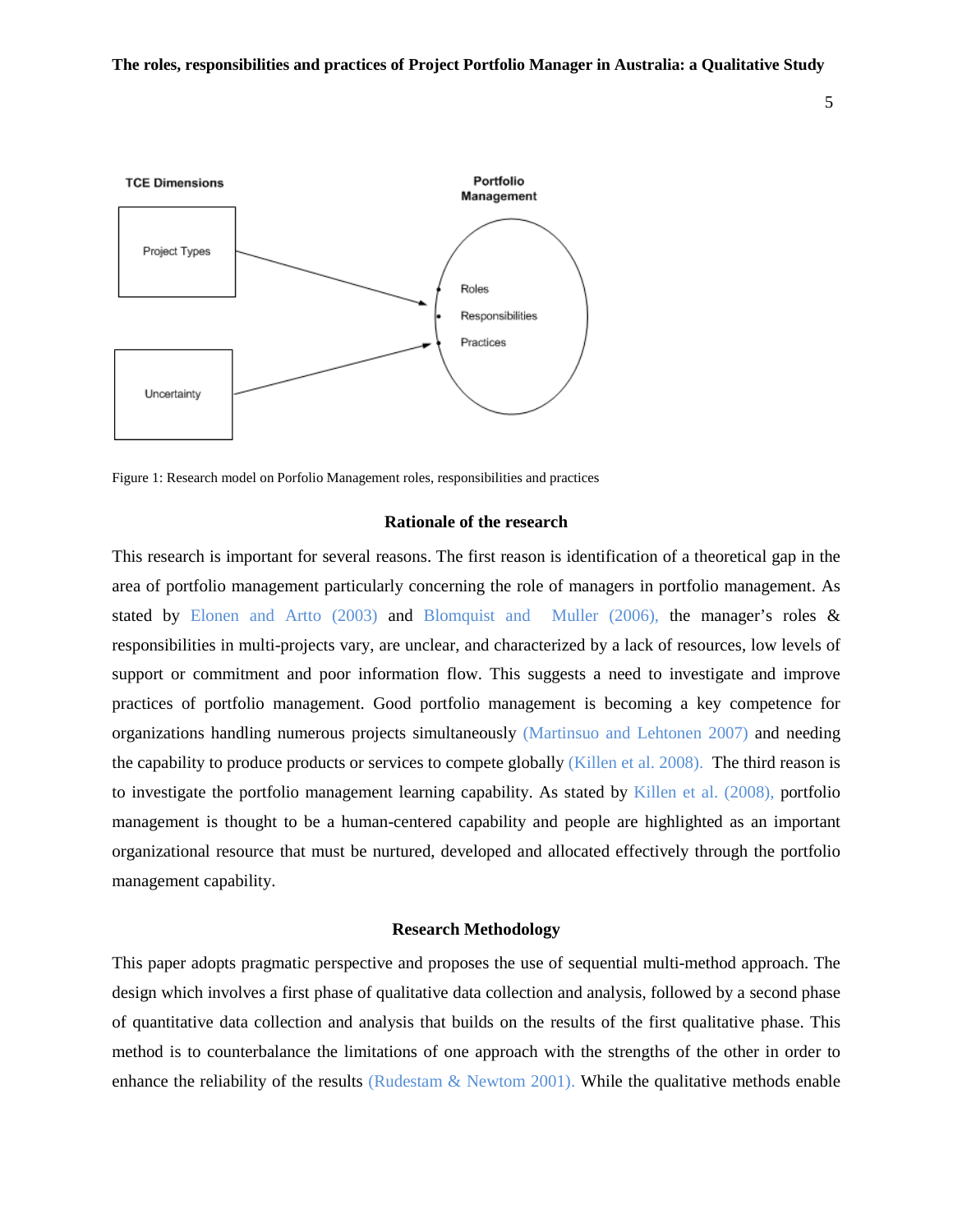5



Figure 1: Research model on Porfolio Management roles, responsibilities and practices

#### **Rationale of the research**

This research is important for several reasons. The first reason is identification of a theoretical gap in the area of portfolio management particularly concerning the role of managers in portfolio management. As stated by Elonen and Artto (2003) and Blomquist and Muller (2006), the manager's roles  $\&$ responsibilities in multi-projects vary, are unclear, and characterized by a lack of resources, low levels of support or commitment and poor information flow. This suggests a need to investigate and improve practices of portfolio management. Good portfolio management is becoming a key competence for organizations handling numerous projects simultaneously (Martinsuo and Lehtonen 2007) and needing the capability to produce products or services to compete globally (Killen et al. 2008). The third reason is to investigate the portfolio management learning capability. As stated by Killen et al. (2008), portfolio management is thought to be a human-centered capability and people are highlighted as an important organizational resource that must be nurtured, developed and allocated effectively through the portfolio management capability.

#### **Research Methodology**

This paper adopts pragmatic perspective and proposes the use of sequential multi-method approach. The design which involves a first phase of qualitative data collection and analysis, followed by a second phase of quantitative data collection and analysis that builds on the results of the first qualitative phase. This method is to counterbalance the limitations of one approach with the strengths of the other in order to enhance the reliability of the results (Rudestam  $\&$  Newtom 2001). While the qualitative methods enable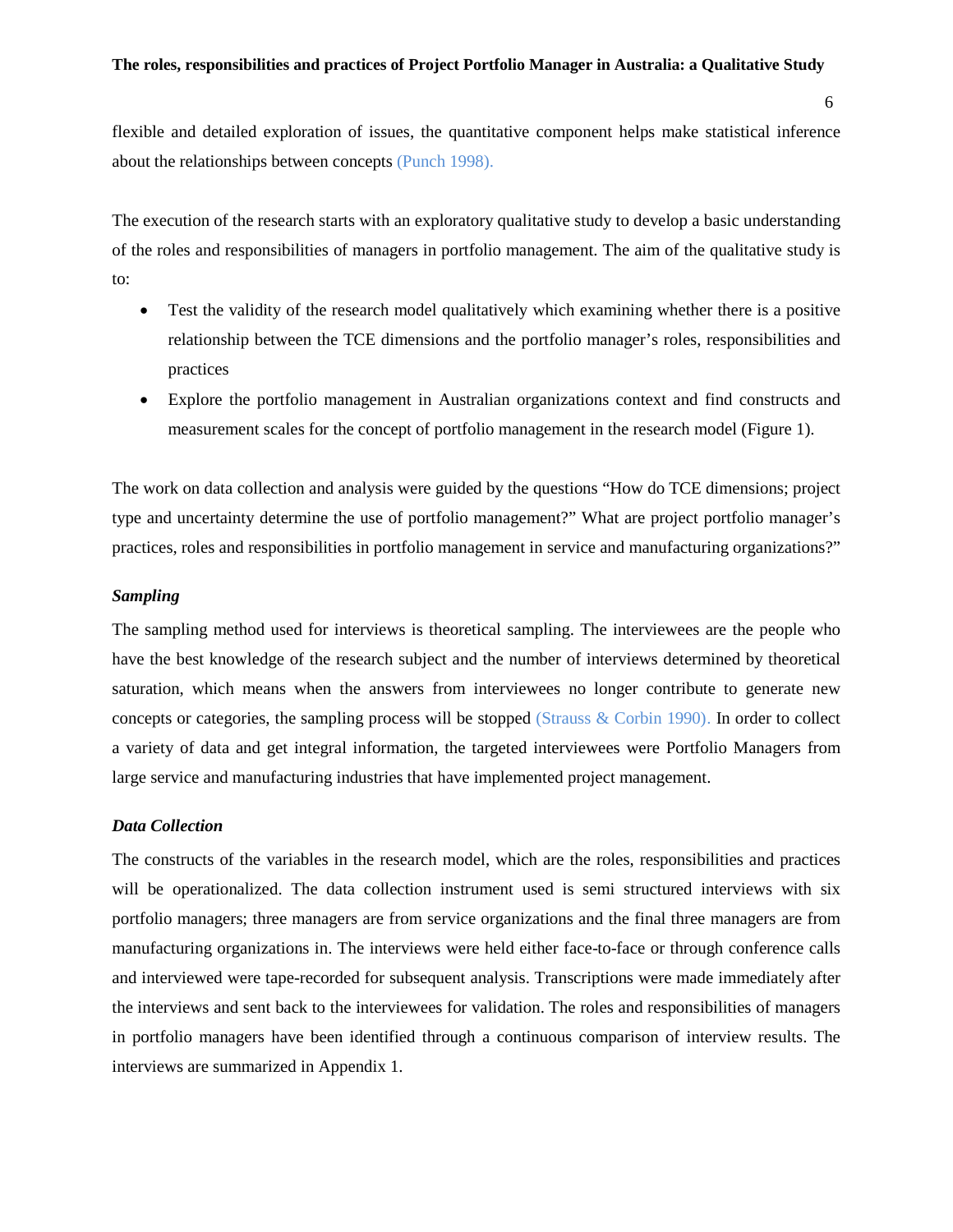flexible and detailed exploration of issues, the quantitative component helps make statistical inference about the relationships between concepts (Punch 1998).

The execution of the research starts with an exploratory qualitative study to develop a basic understanding of the roles and responsibilities of managers in portfolio management. The aim of the qualitative study is to:

- Test the validity of the research model qualitatively which examining whether there is a positive relationship between the TCE dimensions and the portfolio manager's roles, responsibilities and practices
- Explore the portfolio management in Australian organizations context and find constructs and measurement scales for the concept of portfolio management in the research model (Figure 1).

The work on data collection and analysis were guided by the questions "How do TCE dimensions; project type and uncertainty determine the use of portfolio management?" What are project portfolio manager's practices, roles and responsibilities in portfolio management in service and manufacturing organizations?"

#### *Sampling*

The sampling method used for interviews is theoretical sampling. The interviewees are the people who have the best knowledge of the research subject and the number of interviews determined by theoretical saturation, which means when the answers from interviewees no longer contribute to generate new concepts or categories, the sampling process will be stopped (Strauss  $&$  Corbin 1990). In order to collect a variety of data and get integral information, the targeted interviewees were Portfolio Managers from large service and manufacturing industries that have implemented project management.

#### *Data Collection*

The constructs of the variables in the research model, which are the roles, responsibilities and practices will be operationalized. The data collection instrument used is semi structured interviews with six portfolio managers; three managers are from service organizations and the final three managers are from manufacturing organizations in. The interviews were held either face-to-face or through conference calls and interviewed were tape-recorded for subsequent analysis. Transcriptions were made immediately after the interviews and sent back to the interviewees for validation. The roles and responsibilities of managers in portfolio managers have been identified through a continuous comparison of interview results. The interviews are summarized in Appendix 1.

6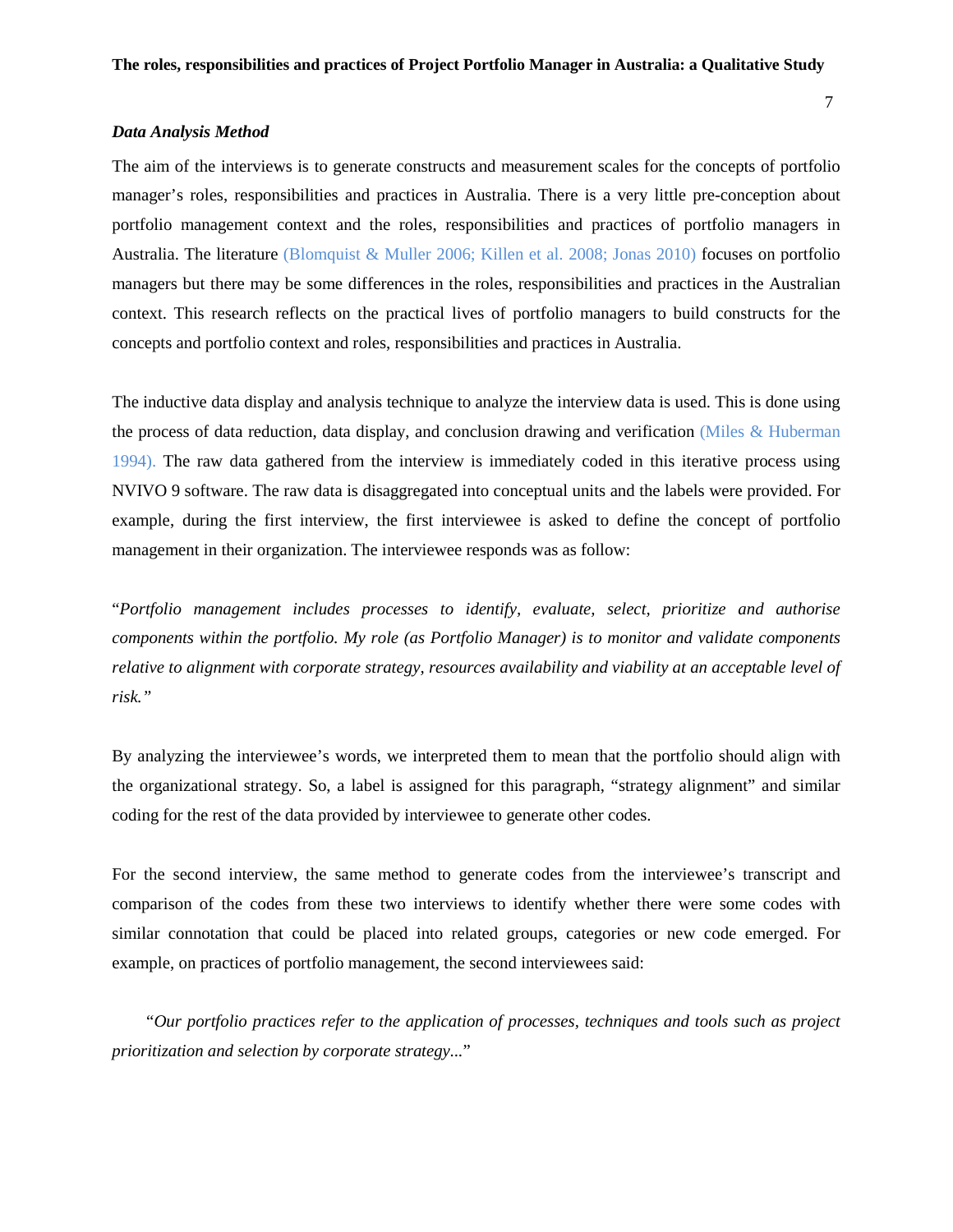#### 7

#### *Data Analysis Method*

The aim of the interviews is to generate constructs and measurement scales for the concepts of portfolio manager's roles, responsibilities and practices in Australia. There is a very little pre-conception about portfolio management context and the roles, responsibilities and practices of portfolio managers in Australia. The literature (Blomquist & Muller 2006; Killen et al. 2008; Jonas 2010) focuses on portfolio managers but there may be some differences in the roles, responsibilities and practices in the Australian context. This research reflects on the practical lives of portfolio managers to build constructs for the concepts and portfolio context and roles, responsibilities and practices in Australia.

The inductive data display and analysis technique to analyze the interview data is used. This is done using the process of data reduction, data display, and conclusion drawing and verification (Miles  $\&$  Huberman 1994). The raw data gathered from the interview is immediately coded in this iterative process using NVIVO 9 software. The raw data is disaggregated into conceptual units and the labels were provided. For example, during the first interview, the first interviewee is asked to define the concept of portfolio management in their organization. The interviewee responds was as follow:

"*Portfolio management includes processes to identify, evaluate, select, prioritize and authorise components within the portfolio. My role (as Portfolio Manager) is to monitor and validate components relative to alignment with corporate strategy, resources availability and viability at an acceptable level of risk."*

By analyzing the interviewee's words, we interpreted them to mean that the portfolio should align with the organizational strategy. So, a label is assigned for this paragraph, "strategy alignment" and similar coding for the rest of the data provided by interviewee to generate other codes.

For the second interview, the same method to generate codes from the interviewee's transcript and comparison of the codes from these two interviews to identify whether there were some codes with similar connotation that could be placed into related groups, categories or new code emerged. For example, on practices of portfolio management, the second interviewees said:

 "*Our portfolio practices refer to the application of processes, techniques and tools such as project prioritization and selection by corporate strategy...*"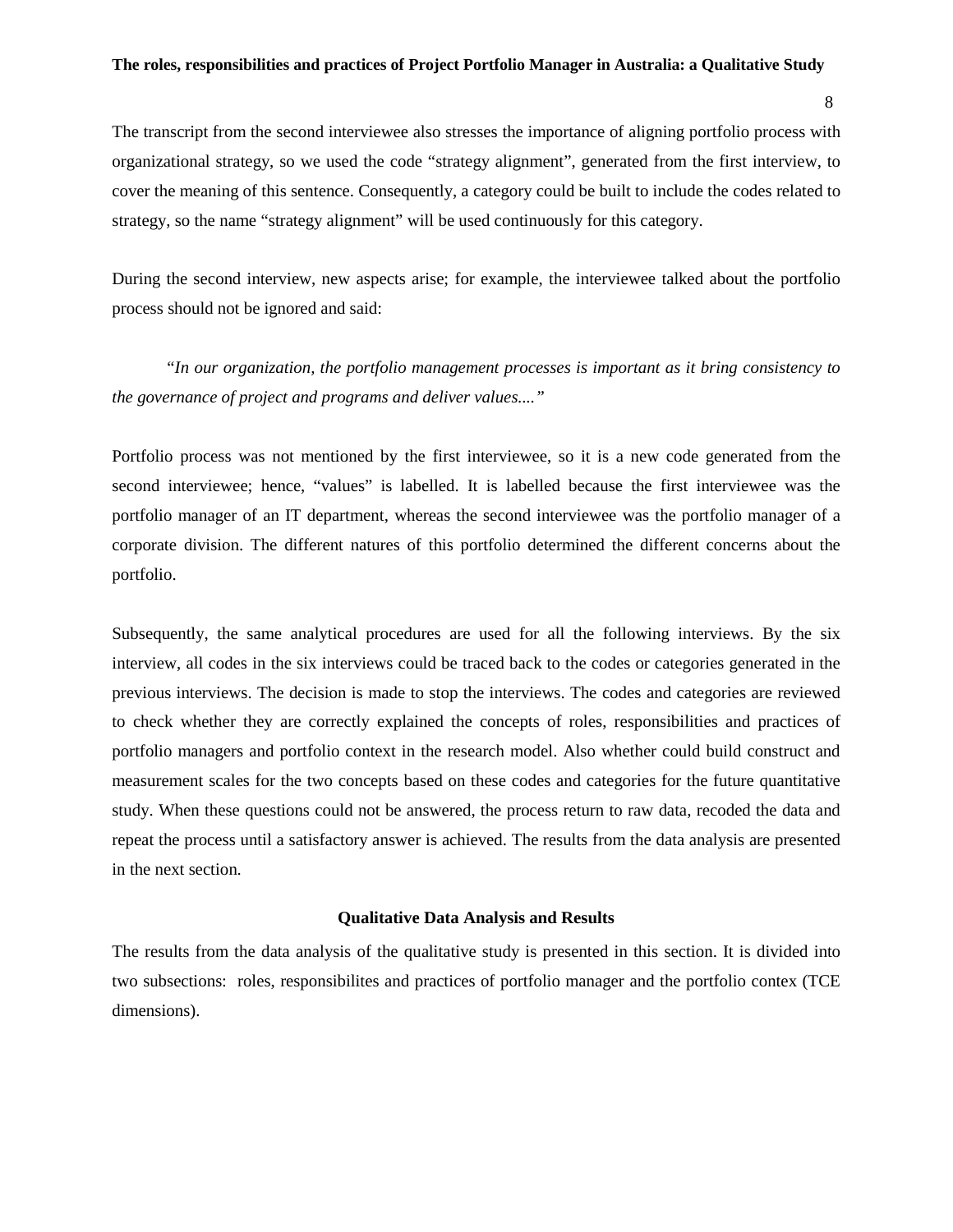8

The transcript from the second interviewee also stresses the importance of aligning portfolio process with organizational strategy, so we used the code "strategy alignment", generated from the first interview, to cover the meaning of this sentence. Consequently, a category could be built to include the codes related to strategy, so the name "strategy alignment" will be used continuously for this category.

During the second interview, new aspects arise; for example, the interviewee talked about the portfolio process should not be ignored and said:

"*In our organization, the portfolio management processes is important as it bring consistency to the governance of project and programs and deliver values...."*

Portfolio process was not mentioned by the first interviewee, so it is a new code generated from the second interviewee; hence, "values" is labelled. It is labelled because the first interviewee was the portfolio manager of an IT department, whereas the second interviewee was the portfolio manager of a corporate division. The different natures of this portfolio determined the different concerns about the portfolio.

Subsequently, the same analytical procedures are used for all the following interviews. By the six interview, all codes in the six interviews could be traced back to the codes or categories generated in the previous interviews. The decision is made to stop the interviews. The codes and categories are reviewed to check whether they are correctly explained the concepts of roles, responsibilities and practices of portfolio managers and portfolio context in the research model. Also whether could build construct and measurement scales for the two concepts based on these codes and categories for the future quantitative study. When these questions could not be answered, the process return to raw data, recoded the data and repeat the process until a satisfactory answer is achieved. The results from the data analysis are presented in the next section.

#### **Qualitative Data Analysis and Results**

The results from the data analysis of the qualitative study is presented in this section. It is divided into two subsections: roles, responsibilites and practices of portfolio manager and the portfolio contex (TCE dimensions).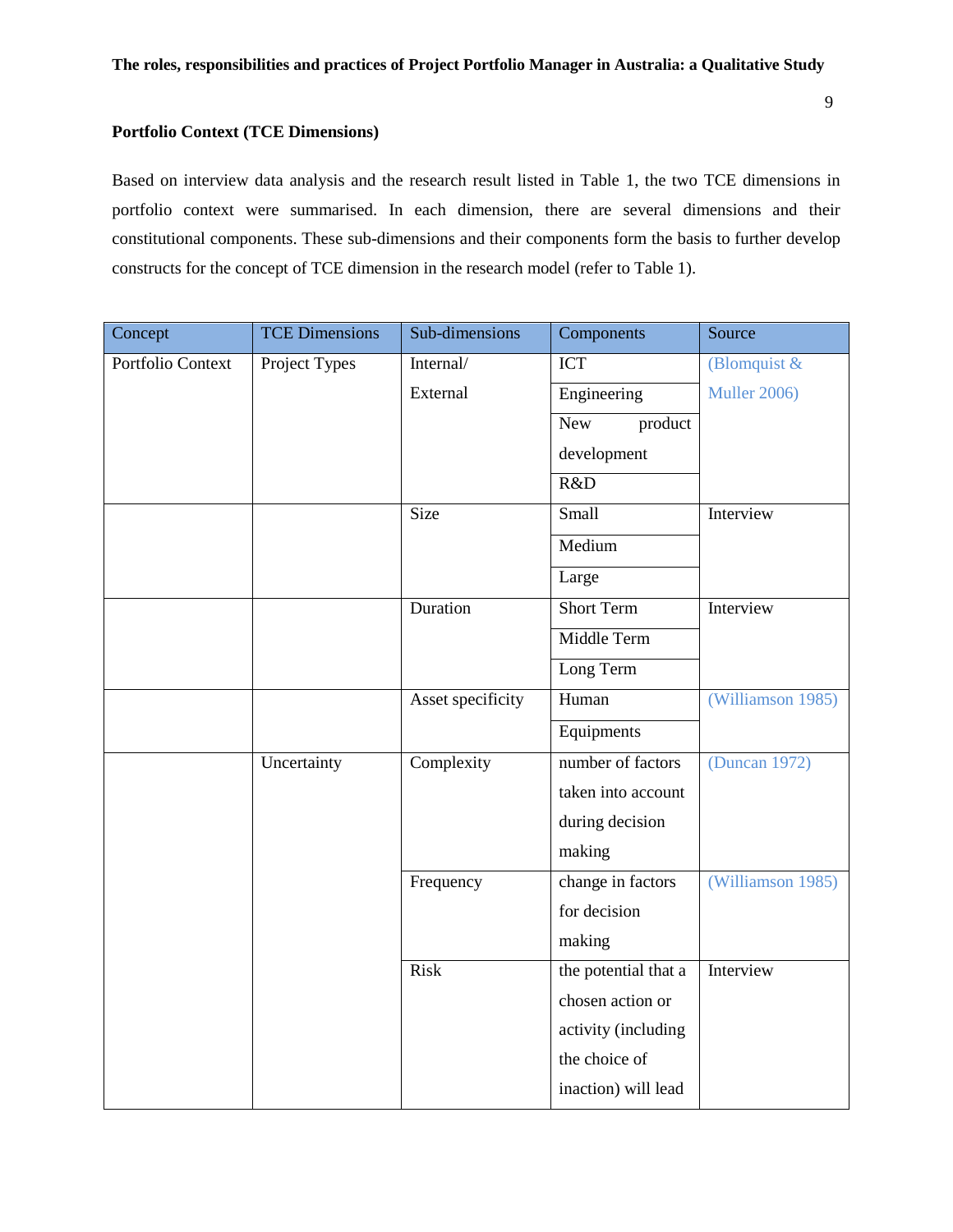## **Portfolio Context (TCE Dimensions)**

Based on interview data analysis and the research result listed in Table 1, the two TCE dimensions in portfolio context were summarised. In each dimension, there are several dimensions and their constitutional components. These sub-dimensions and their components form the basis to further develop constructs for the concept of TCE dimension in the research model (refer to Table 1).

| Concept           | <b>TCE Dimensions</b> | Sub-dimensions    | Components            | Source            |
|-------------------|-----------------------|-------------------|-----------------------|-------------------|
| Portfolio Context | Project Types         | Internal/         | <b>ICT</b>            | (Blomquist &      |
|                   |                       | External          | Engineering           | Muller 2006)      |
|                   |                       |                   | <b>New</b><br>product |                   |
|                   |                       |                   | development           |                   |
|                   |                       |                   | R&D                   |                   |
|                   |                       | Size              | Small                 | Interview         |
|                   |                       |                   | Medium                |                   |
|                   |                       |                   | Large                 |                   |
|                   |                       | Duration          | <b>Short Term</b>     | Interview         |
|                   |                       |                   | Middle Term           |                   |
|                   |                       |                   | Long Term             |                   |
|                   |                       | Asset specificity | Human                 | (Williamson 1985) |
|                   |                       |                   | Equipments            |                   |
|                   | Uncertainty           | Complexity        | number of factors     | (Duncan 1972)     |
|                   |                       |                   | taken into account    |                   |
|                   |                       |                   | during decision       |                   |
|                   |                       |                   | making                |                   |
|                   |                       | Frequency         | change in factors     | (Williamson 1985) |
|                   |                       |                   | for decision          |                   |
|                   |                       |                   | making                |                   |
|                   |                       | <b>Risk</b>       | the potential that a  | Interview         |
|                   |                       |                   | chosen action or      |                   |
|                   |                       |                   | activity (including   |                   |
|                   |                       |                   | the choice of         |                   |
|                   |                       |                   | inaction) will lead   |                   |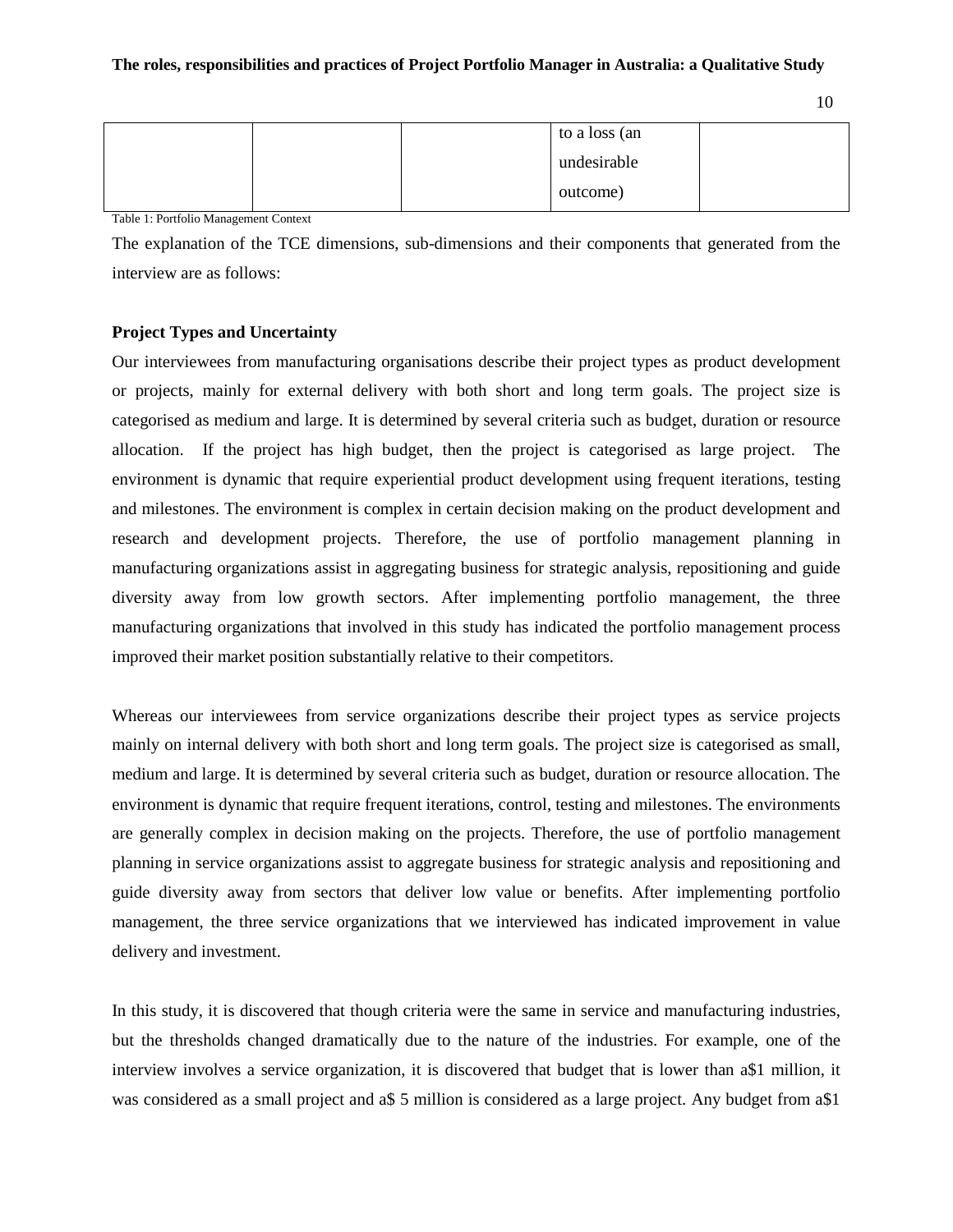| ٩<br>I<br>I<br>×<br>۰,<br>× |
|-----------------------------|
|                             |

|  | to a loss (an |  |
|--|---------------|--|
|  | undesirable   |  |
|  | outcome)      |  |

Table 1: Portfolio Management Context

The explanation of the TCE dimensions, sub-dimensions and their components that generated from the interview are as follows:

## **Project Types and Uncertainty**

Our interviewees from manufacturing organisations describe their project types as product development or projects, mainly for external delivery with both short and long term goals. The project size is categorised as medium and large. It is determined by several criteria such as budget, duration or resource allocation. If the project has high budget, then the project is categorised as large project. The environment is dynamic that require experiential product development using frequent iterations, testing and milestones. The environment is complex in certain decision making on the product development and research and development projects. Therefore, the use of portfolio management planning in manufacturing organizations assist in aggregating business for strategic analysis, repositioning and guide diversity away from low growth sectors. After implementing portfolio management, the three manufacturing organizations that involved in this study has indicated the portfolio management process improved their market position substantially relative to their competitors.

Whereas our interviewees from service organizations describe their project types as service projects mainly on internal delivery with both short and long term goals. The project size is categorised as small, medium and large. It is determined by several criteria such as budget, duration or resource allocation. The environment is dynamic that require frequent iterations, control, testing and milestones. The environments are generally complex in decision making on the projects. Therefore, the use of portfolio management planning in service organizations assist to aggregate business for strategic analysis and repositioning and guide diversity away from sectors that deliver low value or benefits. After implementing portfolio management, the three service organizations that we interviewed has indicated improvement in value delivery and investment.

In this study, it is discovered that though criteria were the same in service and manufacturing industries, but the thresholds changed dramatically due to the nature of the industries. For example, one of the interview involves a service organization, it is discovered that budget that is lower than a\$1 million, it was considered as a small project and a\$ 5 million is considered as a large project. Any budget from a\$1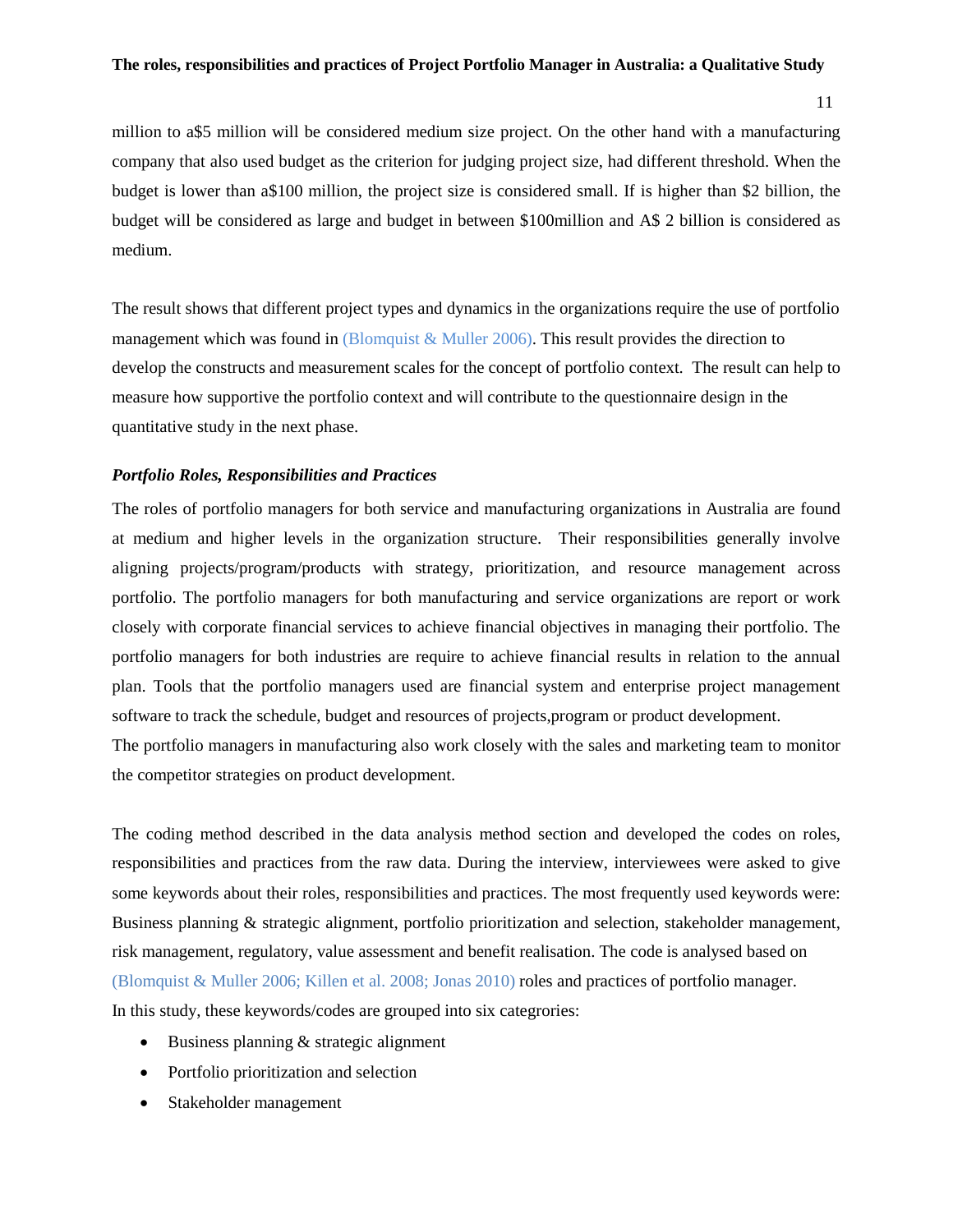11

million to a\$5 million will be considered medium size project. On the other hand with a manufacturing company that also used budget as the criterion for judging project size, had different threshold. When the budget is lower than a\$100 million, the project size is considered small. If is higher than \$2 billion, the budget will be considered as large and budget in between \$100million and A\$ 2 billion is considered as medium.

The result shows that different project types and dynamics in the organizations require the use of portfolio management which was found in (Blomquist  $\&$  Muller 2006). This result provides the direction to develop the constructs and measurement scales for the concept of portfolio context. The result can help to measure how supportive the portfolio context and will contribute to the questionnaire design in the quantitative study in the next phase.

#### *Portfolio Roles, Responsibilities and Practices*

The roles of portfolio managers for both service and manufacturing organizations in Australia are found at medium and higher levels in the organization structure. Their responsibilities generally involve aligning projects/program/products with strategy, prioritization, and resource management across portfolio. The portfolio managers for both manufacturing and service organizations are report or work closely with corporate financial services to achieve financial objectives in managing their portfolio. The portfolio managers for both industries are require to achieve financial results in relation to the annual plan. Tools that the portfolio managers used are financial system and enterprise project management software to track the schedule, budget and resources of projects,program or product development.

The portfolio managers in manufacturing also work closely with the sales and marketing team to monitor the competitor strategies on product development.

The coding method described in the data analysis method section and developed the codes on roles, responsibilities and practices from the raw data. During the interview, interviewees were asked to give some keywords about their roles, responsibilities and practices. The most frequently used keywords were: Business planning & strategic alignment, portfolio prioritization and selection, stakeholder management, risk management, regulatory, value assessment and benefit realisation. The code is analysed based on (Blomquist & Muller 2006; Killen et al. 2008; Jonas 2010) roles and practices of portfolio manager. In this study, these keywords/codes are grouped into six categrories:

- Business planning  $&$  strategic alignment
- Portfolio prioritization and selection
- Stakeholder management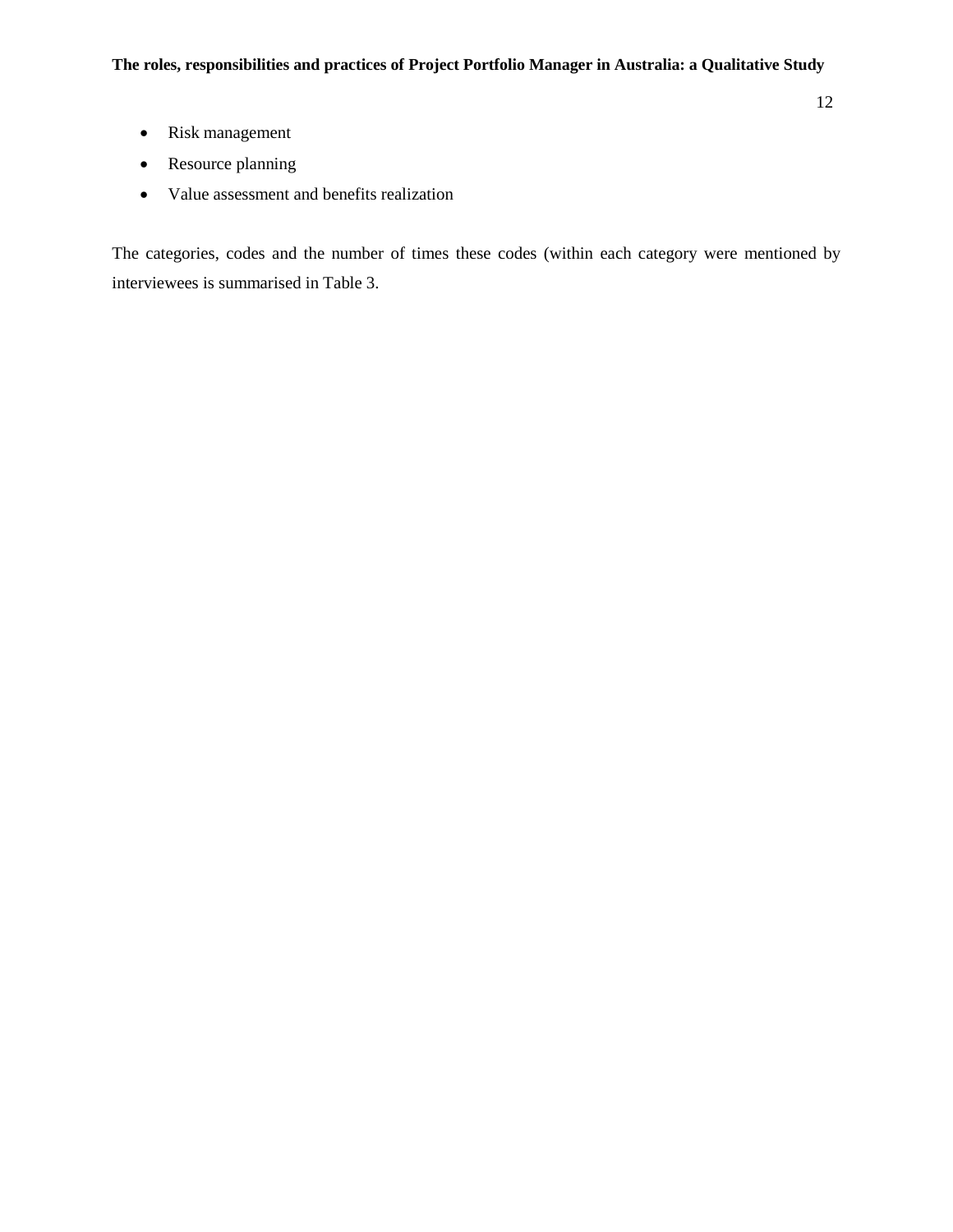- Risk management
- Resource planning
- Value assessment and benefits realization

The categories, codes and the number of times these codes (within each category were mentioned by interviewees is summarised in Table 3.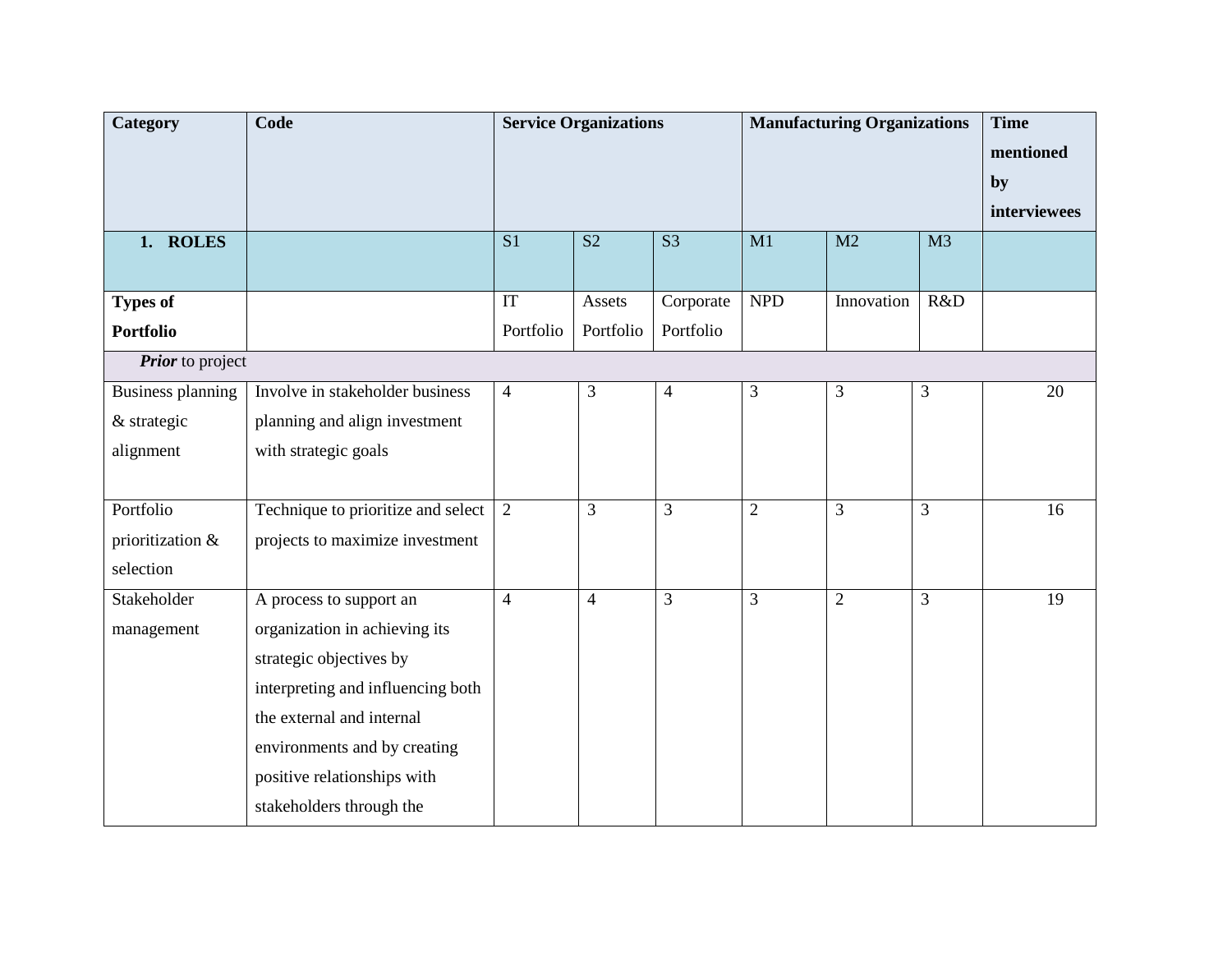| Category                 | Code                               |                | <b>Service Organizations</b> |                | <b>Manufacturing Organizations</b> |                | <b>Time</b><br>mentioned |                    |
|--------------------------|------------------------------------|----------------|------------------------------|----------------|------------------------------------|----------------|--------------------------|--------------------|
|                          |                                    |                |                              |                |                                    |                |                          | by<br>interviewees |
| 1. ROLES                 |                                    | S <sub>1</sub> | S <sub>2</sub>               | S <sub>3</sub> | M1                                 | M2             | M <sub>3</sub>           |                    |
|                          |                                    |                |                              |                |                                    |                |                          |                    |
| Types of                 |                                    | IT             | Assets                       | Corporate      | <b>NPD</b>                         | Innovation     | R&D                      |                    |
| <b>Portfolio</b>         |                                    | Portfolio      | Portfolio                    | Portfolio      |                                    |                |                          |                    |
| <b>Prior</b> to project  |                                    |                |                              |                |                                    |                |                          |                    |
| <b>Business planning</b> | Involve in stakeholder business    | $\overline{4}$ | 3                            | $\overline{4}$ | 3                                  | 3              | 3                        | 20                 |
| & strategic              | planning and align investment      |                |                              |                |                                    |                |                          |                    |
| alignment                | with strategic goals               |                |                              |                |                                    |                |                          |                    |
|                          |                                    |                |                              |                |                                    |                |                          |                    |
| Portfolio                | Technique to prioritize and select | $\overline{2}$ | $\overline{3}$               | $\overline{3}$ | $\overline{2}$                     | 3              | 3                        | 16                 |
| prioritization &         | projects to maximize investment    |                |                              |                |                                    |                |                          |                    |
| selection                |                                    |                |                              |                |                                    |                |                          |                    |
| Stakeholder              | A process to support an            | $\overline{4}$ | $\overline{4}$               | 3              | 3                                  | $\overline{2}$ | $\overline{3}$           | 19                 |
| management               | organization in achieving its      |                |                              |                |                                    |                |                          |                    |
|                          | strategic objectives by            |                |                              |                |                                    |                |                          |                    |
|                          | interpreting and influencing both  |                |                              |                |                                    |                |                          |                    |
|                          | the external and internal          |                |                              |                |                                    |                |                          |                    |
|                          | environments and by creating       |                |                              |                |                                    |                |                          |                    |
|                          | positive relationships with        |                |                              |                |                                    |                |                          |                    |
|                          | stakeholders through the           |                |                              |                |                                    |                |                          |                    |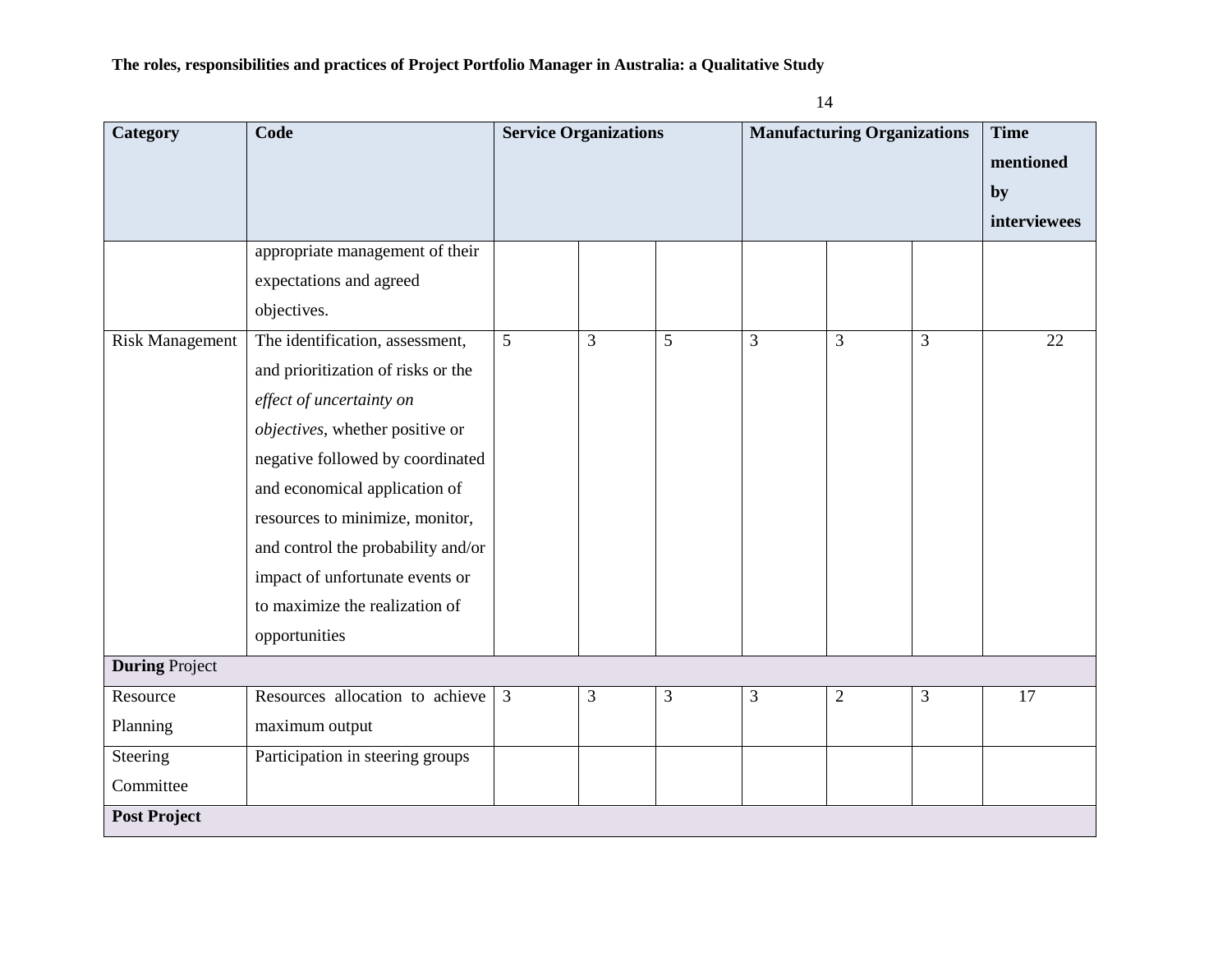| Category               | Code                               | <b>Service Organizations</b><br><b>Manufacturing Organizations</b> |                |           | <b>Time</b>    |              |   |              |
|------------------------|------------------------------------|--------------------------------------------------------------------|----------------|-----------|----------------|--------------|---|--------------|
|                        |                                    |                                                                    |                | mentioned |                |              |   |              |
|                        |                                    |                                                                    |                |           |                |              |   | by           |
|                        |                                    |                                                                    |                |           |                |              |   | interviewees |
|                        | appropriate management of their    |                                                                    |                |           |                |              |   |              |
|                        | expectations and agreed            |                                                                    |                |           |                |              |   |              |
|                        | objectives.                        |                                                                    |                |           |                |              |   |              |
| <b>Risk Management</b> | The identification, assessment,    | 5                                                                  | $\overline{3}$ | 5         | $\overline{3}$ | 3            | 3 | 22           |
|                        | and prioritization of risks or the |                                                                    |                |           |                |              |   |              |
|                        | effect of uncertainty on           |                                                                    |                |           |                |              |   |              |
|                        | objectives, whether positive or    |                                                                    |                |           |                |              |   |              |
|                        | negative followed by coordinated   |                                                                    |                |           |                |              |   |              |
|                        | and economical application of      |                                                                    |                |           |                |              |   |              |
|                        | resources to minimize, monitor,    |                                                                    |                |           |                |              |   |              |
|                        | and control the probability and/or |                                                                    |                |           |                |              |   |              |
|                        | impact of unfortunate events or    |                                                                    |                |           |                |              |   |              |
|                        | to maximize the realization of     |                                                                    |                |           |                |              |   |              |
|                        | opportunities                      |                                                                    |                |           |                |              |   |              |
| <b>During Project</b>  |                                    |                                                                    |                |           |                |              |   |              |
| Resource               | Resources allocation to achieve    | 3                                                                  | 3              | 3         | 3              | $\mathbf{2}$ | 3 | 17           |
| Planning               | maximum output                     |                                                                    |                |           |                |              |   |              |
| Steering               | Participation in steering groups   |                                                                    |                |           |                |              |   |              |
| Committee              |                                    |                                                                    |                |           |                |              |   |              |
| <b>Post Project</b>    |                                    |                                                                    |                |           |                |              |   |              |

14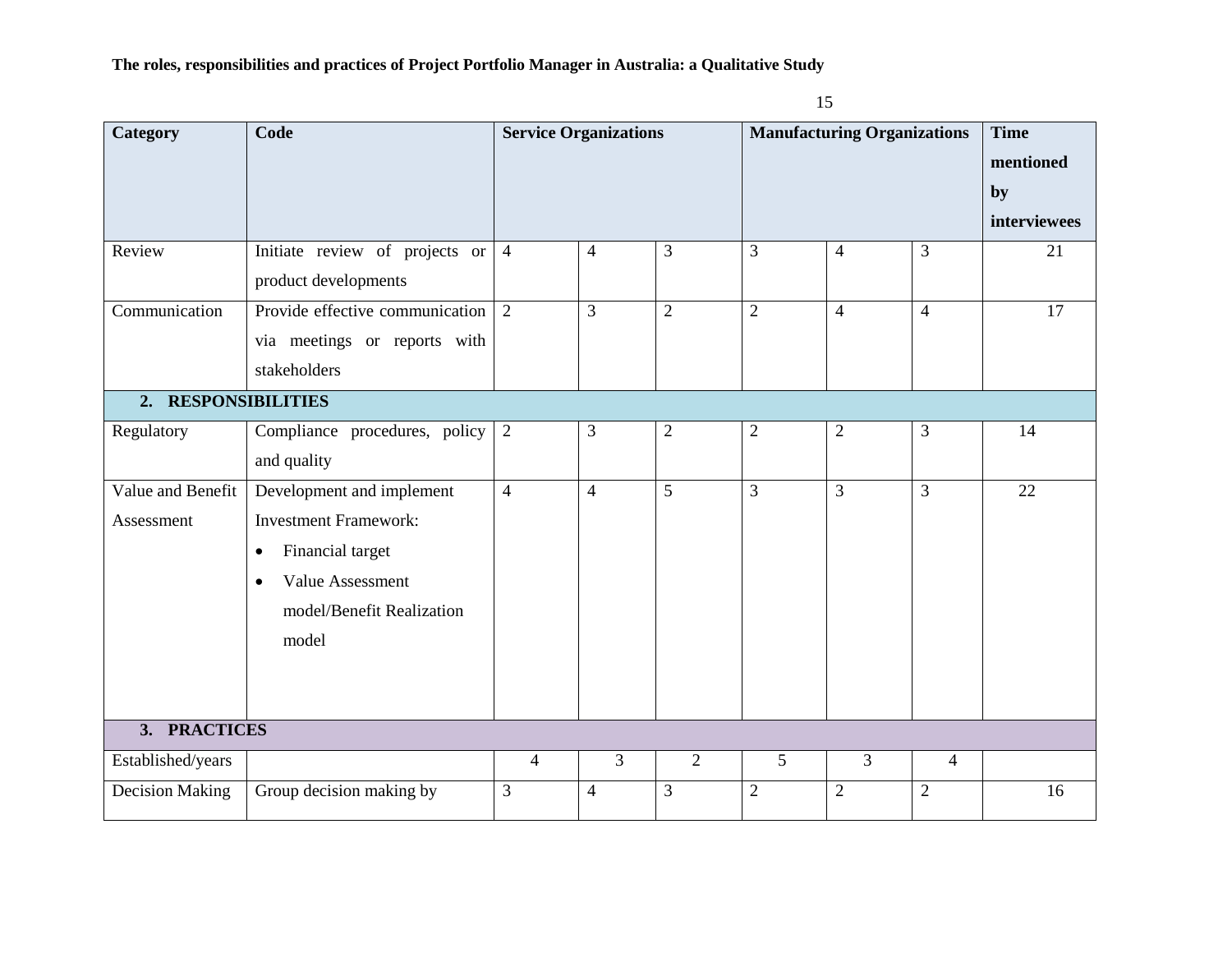| ٩ | ۰.<br>٥<br>× |
|---|--------------|
|   | ۰.<br>٠<br>× |

| Category                        | Code                                                                                                                                                              |                | <b>Service Organizations</b> |                | <b>Manufacturing Organizations</b> |                |                |    | <b>Time</b><br>mentioned<br>by<br>interviewees |
|---------------------------------|-------------------------------------------------------------------------------------------------------------------------------------------------------------------|----------------|------------------------------|----------------|------------------------------------|----------------|----------------|----|------------------------------------------------|
| Review                          | Initiate review of projects or<br>product developments                                                                                                            | $\overline{4}$ | 4                            | 3              | $\overline{3}$                     | $\overline{4}$ | 3              | 21 |                                                |
| Communication                   | Provide effective communication<br>via meetings or reports with<br>stakeholders                                                                                   | 2              | 3                            | $\overline{2}$ | $\overline{2}$                     | $\overline{4}$ | $\overline{4}$ | 17 |                                                |
| 2. RESPONSIBILITIES             |                                                                                                                                                                   |                |                              |                |                                    |                |                |    |                                                |
| Regulatory                      | Compliance procedures, policy<br>and quality                                                                                                                      | $\overline{2}$ | 3                            | $\sqrt{2}$     | $\sqrt{2}$                         | $\mathbf{2}$   | $\mathfrak{Z}$ | 14 |                                                |
| Value and Benefit<br>Assessment | Development and implement<br><b>Investment Framework:</b><br>Financial target<br>$\bullet$<br>Value Assessment<br>$\bullet$<br>model/Benefit Realization<br>model | $\overline{4}$ | $\overline{4}$               | 5              | $\overline{3}$                     | 3              | $\overline{3}$ | 22 |                                                |
| 3. PRACTICES                    |                                                                                                                                                                   |                |                              |                |                                    |                |                |    |                                                |
| Established/years               |                                                                                                                                                                   | $\overline{4}$ | $\overline{3}$               | $\overline{2}$ | 5                                  | 3              | $\overline{4}$ |    |                                                |
| <b>Decision Making</b>          | Group decision making by                                                                                                                                          | 3              | $\overline{4}$               | 3              | $\overline{2}$                     | $\overline{2}$ | $\overline{2}$ | 16 |                                                |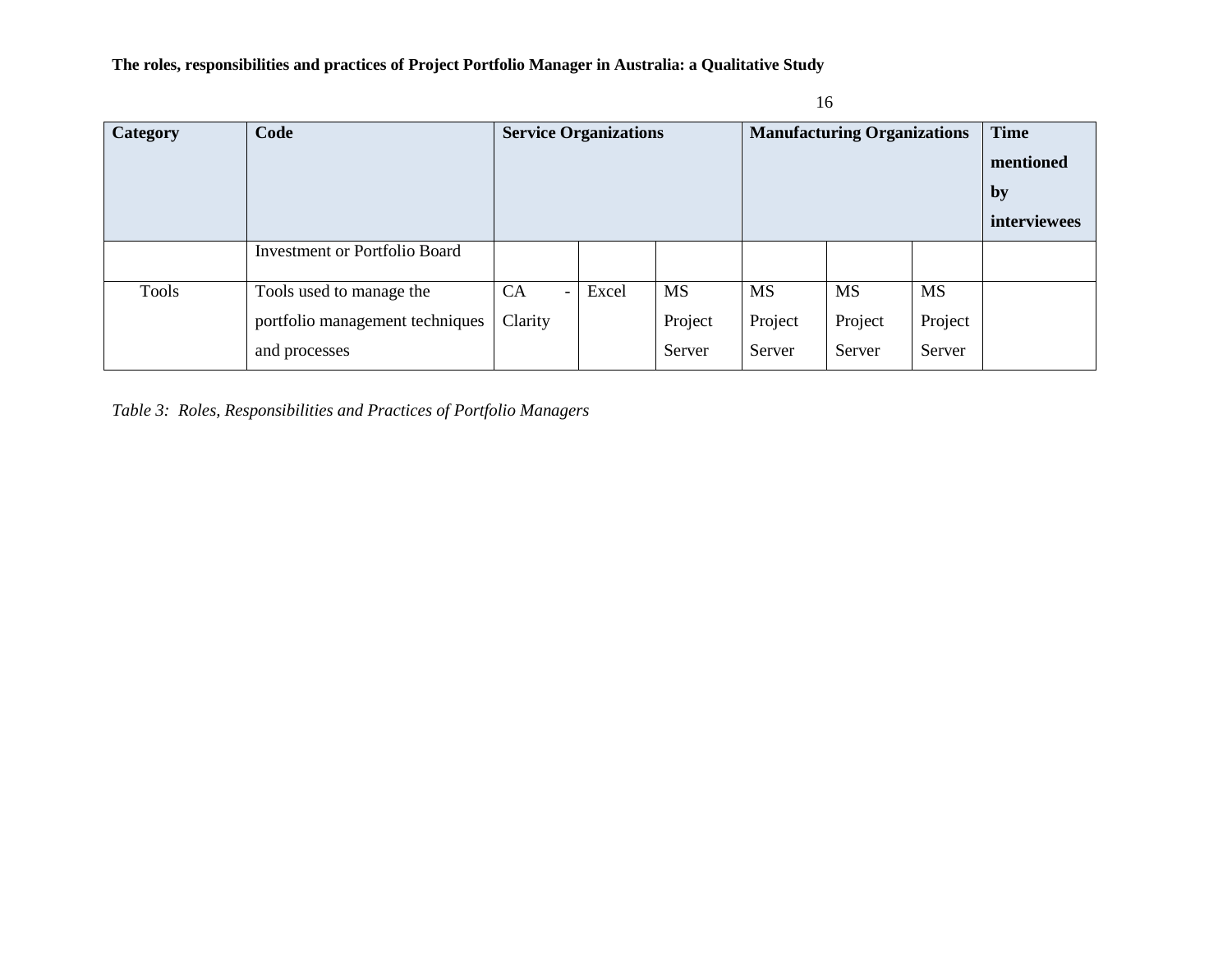| <b>Category</b> | Code                                 | <b>Service Organizations</b>          |       | <b>Manufacturing Organizations</b> |           |           | <b>Time</b><br>mentioned<br>by<br>interviewees |  |
|-----------------|--------------------------------------|---------------------------------------|-------|------------------------------------|-----------|-----------|------------------------------------------------|--|
|                 | <b>Investment or Portfolio Board</b> |                                       |       |                                    |           |           |                                                |  |
| Tools           | Tools used to manage the             | <b>CA</b><br>$\overline{\phantom{0}}$ | Excel | MS                                 | <b>MS</b> | <b>MS</b> | <b>MS</b>                                      |  |
|                 | portfolio management techniques      | Clarity                               |       | Project                            | Project   | Project   | Project                                        |  |
|                 | and processes                        |                                       |       | Server                             | Server    | Server    | Server                                         |  |

*Table 3: Roles, Responsibilities and Practices of Portfolio Managers*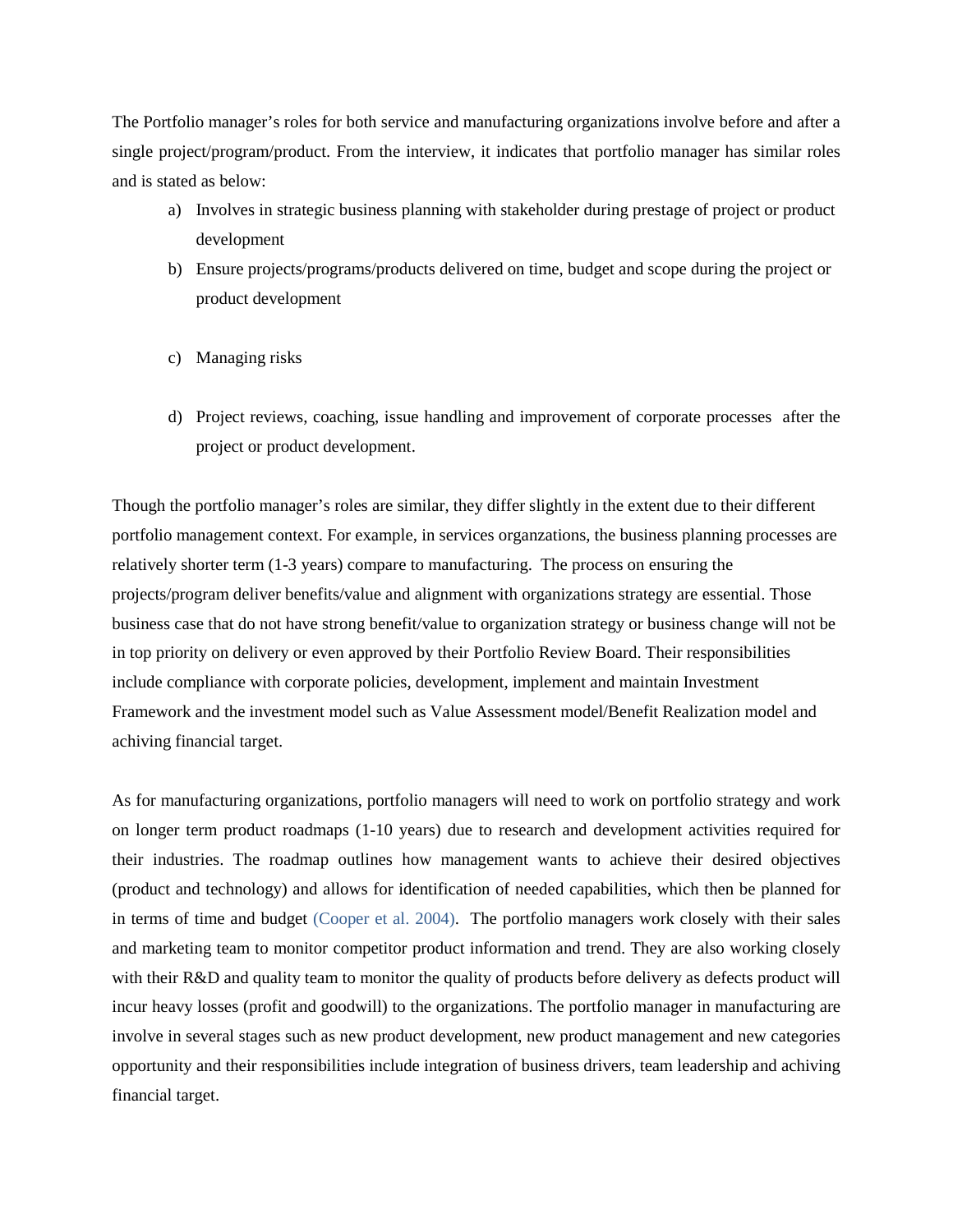The Portfolio manager's roles for both service and manufacturing organizations involve before and after a single project/program/product. From the interview, it indicates that portfolio manager has similar roles and is stated as below:

- a) Involves in strategic business planning with stakeholder during prestage of project or product development
- b) Ensure projects/programs/products delivered on time, budget and scope during the project or product development
- c) Managing risks
- d) Project reviews, coaching, issue handling and improvement of corporate processes after the project or product development.

Though the portfolio manager's roles are similar, they differ slightly in the extent due to their different portfolio management context. For example, in services organzations, the business planning processes are relatively shorter term (1-3 years) compare to manufacturing. The process on ensuring the projects/program deliver benefits/value and alignment with organizations strategy are essential. Those business case that do not have strong benefit/value to organization strategy or business change will not be in top priority on delivery or even approved by their Portfolio Review Board. Their responsibilities include compliance with corporate policies, development, implement and maintain Investment Framework and the investment model such as Value Assessment model/Benefit Realization model and achiving financial target.

As for manufacturing organizations, portfolio managers will need to work on portfolio strategy and work on longer term product roadmaps (1-10 years) due to research and development activities required for their industries. The roadmap outlines how management wants to achieve their desired objectives (product and technology) and allows for identification of needed capabilities, which then be planned for in terms of time and budget (Cooper et al. 2004). The portfolio managers work closely with their sales and marketing team to monitor competitor product information and trend. They are also working closely with their R&D and quality team to monitor the quality of products before delivery as defects product will incur heavy losses (profit and goodwill) to the organizations. The portfolio manager in manufacturing are involve in several stages such as new product development, new product management and new categories opportunity and their responsibilities include integration of business drivers, team leadership and achiving financial target.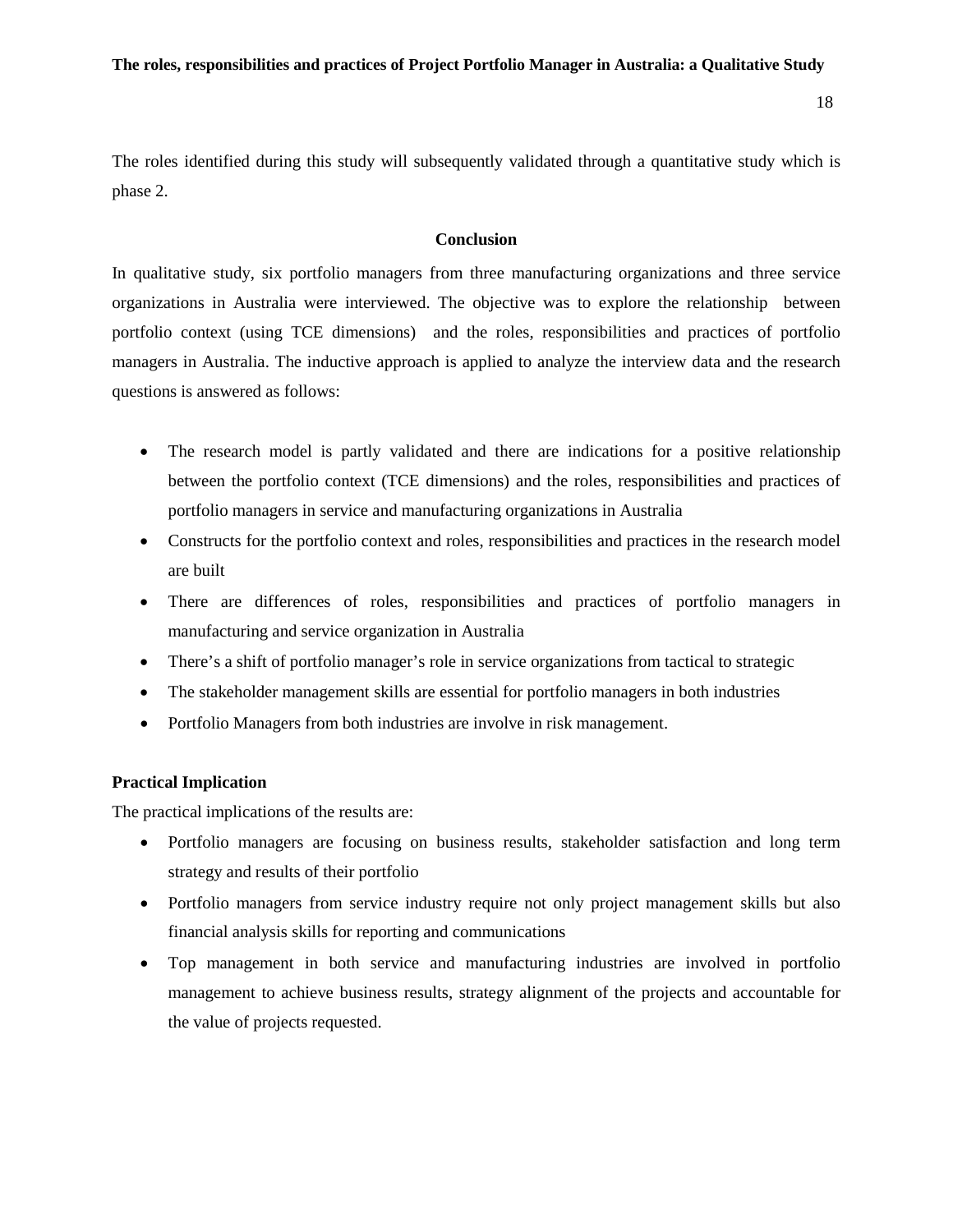The roles identified during this study will subsequently validated through a quantitative study which is phase 2.

### **Conclusion**

In qualitative study, six portfolio managers from three manufacturing organizations and three service organizations in Australia were interviewed. The objective was to explore the relationship between portfolio context (using TCE dimensions) and the roles, responsibilities and practices of portfolio managers in Australia. The inductive approach is applied to analyze the interview data and the research questions is answered as follows:

- The research model is partly validated and there are indications for a positive relationship between the portfolio context (TCE dimensions) and the roles, responsibilities and practices of portfolio managers in service and manufacturing organizations in Australia
- Constructs for the portfolio context and roles, responsibilities and practices in the research model are built
- There are differences of roles, responsibilities and practices of portfolio managers in manufacturing and service organization in Australia
- There's a shift of portfolio manager's role in service organizations from tactical to strategic
- The stakeholder management skills are essential for portfolio managers in both industries
- Portfolio Managers from both industries are involve in risk management.

#### **Practical Implication**

The practical implications of the results are:

- Portfolio managers are focusing on business results, stakeholder satisfaction and long term strategy and results of their portfolio
- Portfolio managers from service industry require not only project management skills but also financial analysis skills for reporting and communications
- Top management in both service and manufacturing industries are involved in portfolio management to achieve business results, strategy alignment of the projects and accountable for the value of projects requested.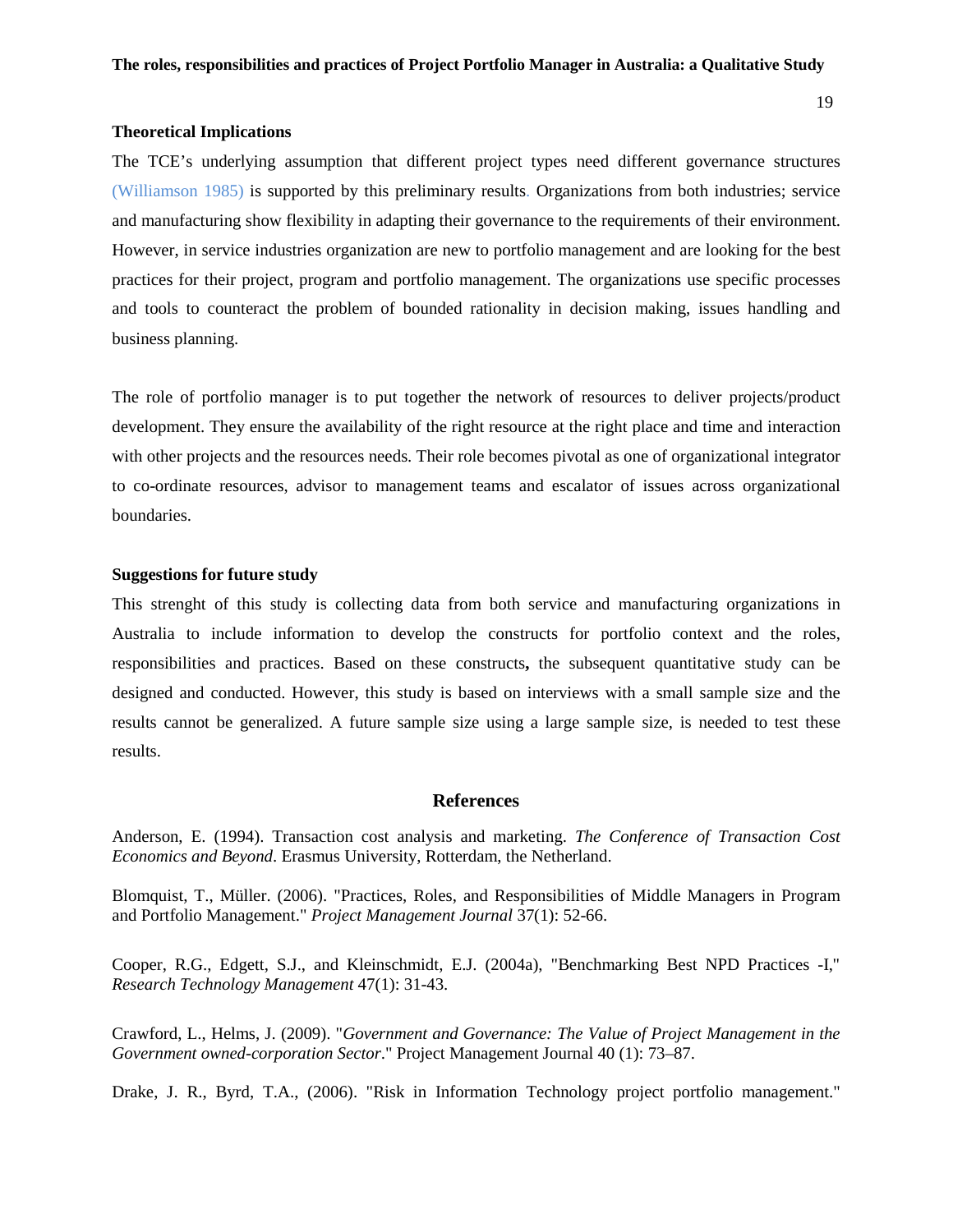#### **Theoretical Implications**

The TCE's underlying assumption that different project types need different governance structures (Williamson 1985) is supported by this preliminary results. Organizations from both industries; service and manufacturing show flexibility in adapting their governance to the requirements of their environment. However, in service industries organization are new to portfolio management and are looking for the best practices for their project, program and portfolio management. The organizations use specific processes and tools to counteract the problem of bounded rationality in decision making, issues handling and business planning.

The role of portfolio manager is to put together the network of resources to deliver projects/product development. They ensure the availability of the right resource at the right place and time and interaction with other projects and the resources needs. Their role becomes pivotal as one of organizational integrator to co-ordinate resources, advisor to management teams and escalator of issues across organizational boundaries.

#### **Suggestions for future study**

This strenght of this study is collecting data from both service and manufacturing organizations in Australia to include information to develop the constructs for portfolio context and the roles, responsibilities and practices. Based on these constructs**,** the subsequent quantitative study can be designed and conducted. However, this study is based on interviews with a small sample size and the results cannot be generalized. A future sample size using a large sample size, is needed to test these results.

#### **References**

Anderson, E. (1994). Transaction cost analysis and marketing. *The Conference of Transaction Cost Economics and Beyond*. Erasmus University, Rotterdam, the Netherland.

Blomquist, T., Müller. (2006). "Practices, Roles, and Responsibilities of Middle Managers in Program and Portfolio Management." *Project Management Journal* 37(1): 52-66.

Cooper, R.G., Edgett, S.J., and Kleinschmidt, E.J. (2004a), "Benchmarking Best NPD Practices -I," *Research Technology Management* 47(1): 31-43.

Crawford, L., Helms, J. (2009). "*Government and Governance: The Value of Project Management in the Government owned-corporation Sector*." Project Management Journal 40 (1): 73–87.

Drake, J. R., Byrd, T.A., (2006). "Risk in Information Technology project portfolio management."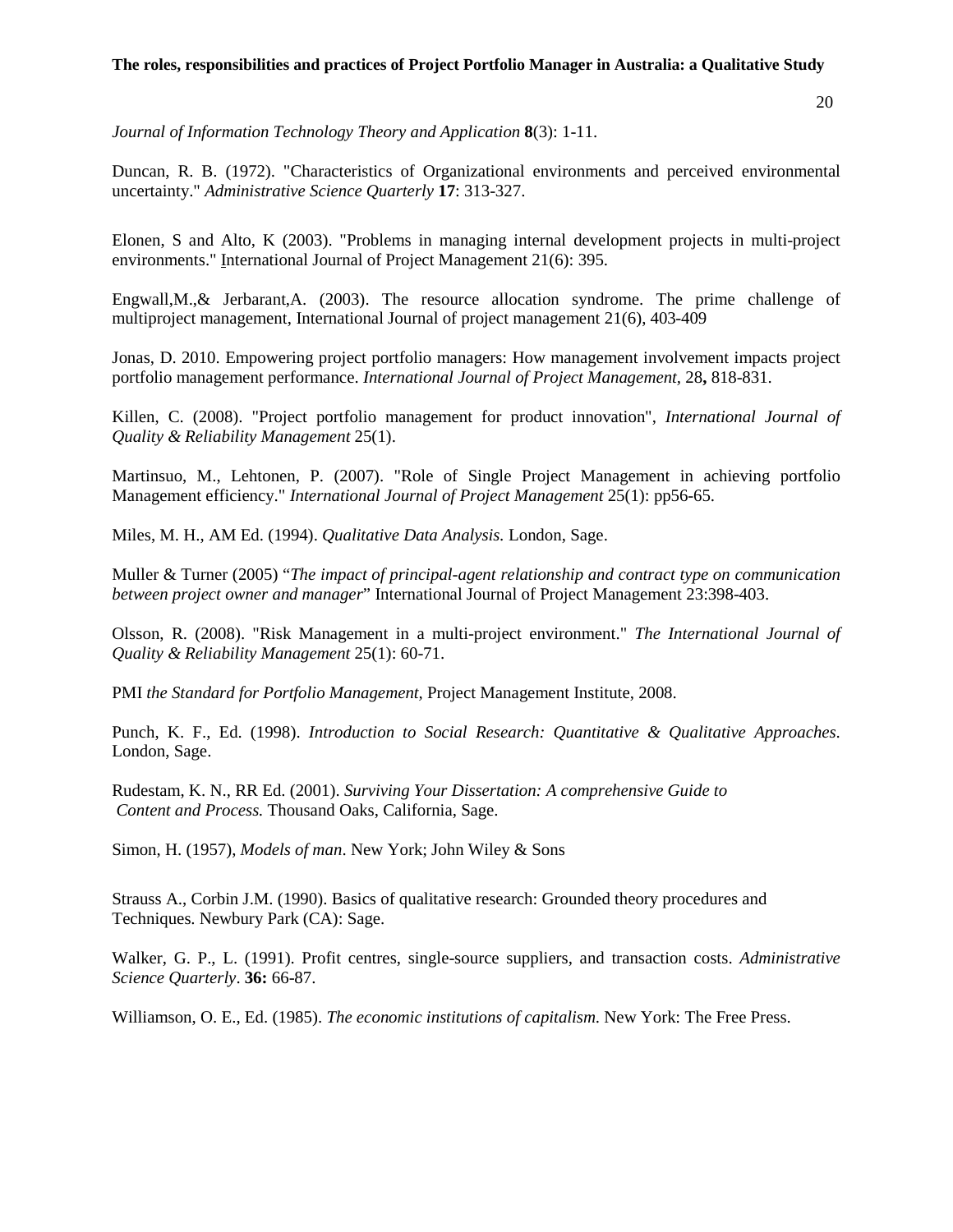*Journal of Information Technology Theory and Application* **8**(3): 1-11.

Duncan, R. B. (1972). "Characteristics of Organizational environments and perceived environmental uncertainty." *Administrative Science Quarterly* **17**: 313-327.

Elonen, S and Alto, K (2003). "Problems in managing internal development projects in multi-project environments." International Journal of Project Management 21(6): 395.

Engwall,M.,& Jerbarant,A. (2003). The resource allocation syndrome. The prime challenge of multiproject management, International Journal of project management 21(6), 403-409

Jonas, D. 2010. Empowering project portfolio managers: How management involvement impacts project portfolio management performance. *International Journal of Project Management,* 28**,** 818-831.

Killen, C. (2008). "Project portfolio management for product innovation", *International Journal of Quality & Reliability Management* 25(1).

Martinsuo, M., Lehtonen, P. (2007). "Role of Single Project Management in achieving portfolio Management efficiency." *International Journal of Project Management* 25(1): pp56-65.

Miles, M. H., AM Ed. (1994). *Qualitative Data Analysis.* London, Sage.

Muller & Turner (2005) "*The impact of principal-agent relationship and contract type on communication between project owner and manager*" International Journal of Project Management 23:398-403.

Olsson, R. (2008). "Risk Management in a multi-project environment." *The International Journal of Quality & Reliability Management* 25(1): 60-71.

PMI *the Standard for Portfolio Management,* Project Management Institute, 2008.

Punch, K. F., Ed. (1998). *Introduction to Social Research: Quantitative & Qualitative Approaches*. London, Sage.

Rudestam, K. N., RR Ed. (2001). *Surviving Your Dissertation: A comprehensive Guide to Content and Process.* Thousand Oaks, California, Sage.

Simon, H. (1957), *Models of man*. New York; John Wiley & Sons

Strauss A., Corbin J.M. (1990). Basics of qualitative research: Grounded theory procedures and Techniques. Newbury Park (CA): Sage.

Walker, G. P., L. (1991). Profit centres, single-source suppliers, and transaction costs. *Administrative Science Quarterly*. **36:** 66-87.

Williamson, O. E., Ed. (1985). *The economic institutions of capitalism*. New York: The Free Press.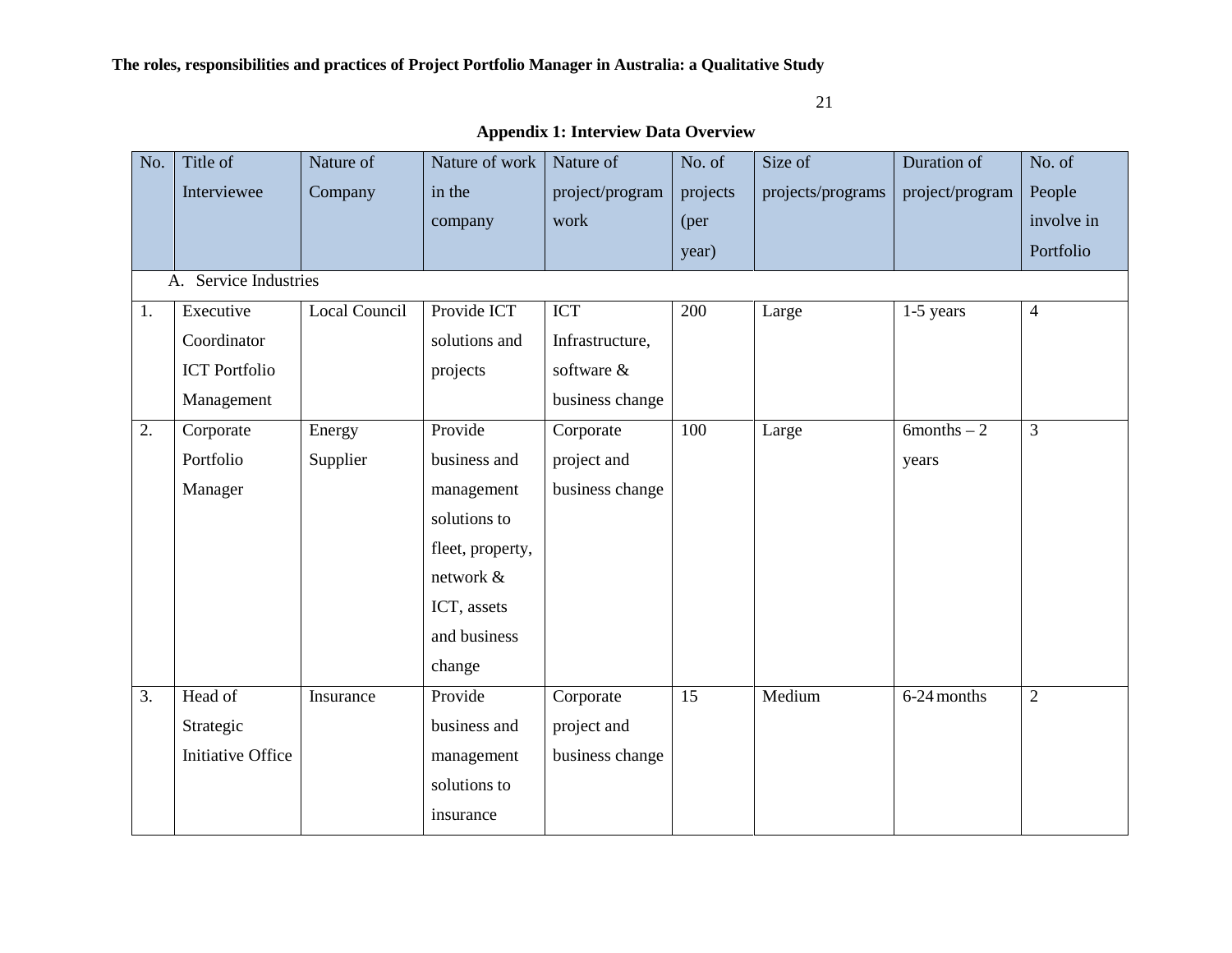21

|     | $\mu$ , policia 1. mich $\mu$ bala $\sigma$ or $\mu$ |               |                  |                 |          |                   |                 |                |  |  |
|-----|------------------------------------------------------|---------------|------------------|-----------------|----------|-------------------|-----------------|----------------|--|--|
| No. | Title of                                             | Nature of     | Nature of work   | Nature of       | No. of   | Size of           | Duration of     | No. of         |  |  |
|     | Interviewee                                          | Company       | in the           | project/program | projects | projects/programs | project/program | People         |  |  |
|     |                                                      |               | company          | work            | (per     |                   |                 | involve in     |  |  |
|     |                                                      |               |                  |                 | year)    |                   |                 | Portfolio      |  |  |
|     | A. Service Industries                                |               |                  |                 |          |                   |                 |                |  |  |
| 1.  | Executive                                            | Local Council | Provide ICT      | <b>ICT</b>      | 200      | Large             | 1-5 years       | $\overline{4}$ |  |  |
|     | Coordinator                                          |               | solutions and    | Infrastructure, |          |                   |                 |                |  |  |
|     | <b>ICT</b> Portfolio                                 |               | projects         | software &      |          |                   |                 |                |  |  |
|     | Management                                           |               |                  | business change |          |                   |                 |                |  |  |
| 2.  | Corporate                                            | Energy        | Provide          | Corporate       | 100      | Large             | $6$ months $-2$ | 3              |  |  |
|     | Portfolio                                            | Supplier      | business and     | project and     |          |                   | years           |                |  |  |
|     | Manager                                              |               | management       | business change |          |                   |                 |                |  |  |
|     |                                                      |               | solutions to     |                 |          |                   |                 |                |  |  |
|     |                                                      |               | fleet, property, |                 |          |                   |                 |                |  |  |
|     |                                                      |               | network &        |                 |          |                   |                 |                |  |  |
|     |                                                      |               | ICT, assets      |                 |          |                   |                 |                |  |  |
|     |                                                      |               | and business     |                 |          |                   |                 |                |  |  |
|     |                                                      |               | change           |                 |          |                   |                 |                |  |  |
| 3.  | Head of                                              | Insurance     | Provide          | Corporate       | 15       | Medium            | 6-24 months     | $\overline{2}$ |  |  |
|     | Strategic                                            |               | business and     | project and     |          |                   |                 |                |  |  |
|     | <b>Initiative Office</b>                             |               | management       | business change |          |                   |                 |                |  |  |
|     |                                                      |               | solutions to     |                 |          |                   |                 |                |  |  |
|     |                                                      |               | insurance        |                 |          |                   |                 |                |  |  |

**Appendix 1: Interview Data Overview**